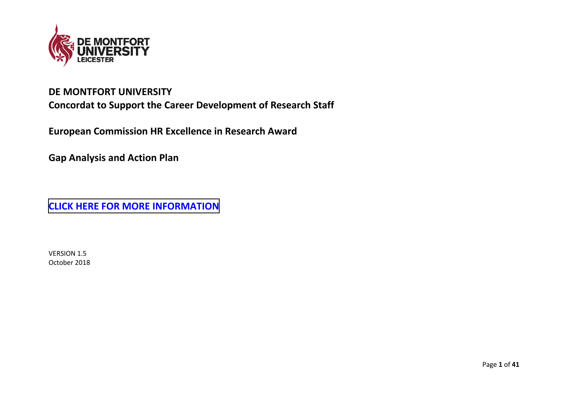

# **DE MONTFORT UNIVERSITY Concordat to Support the Career Development of Research Staff**

**European Commission HR Excellence in Research Award** 

**Gap Analysis and Action Plan** 

**[CLICK HERE FOR MORE INFORMATION](https://www.dmu.ac.uk/research/research-support/research-staff-development-concordat/research-staff-developement-concordate.aspx)**

VERSION 1.5 October 2018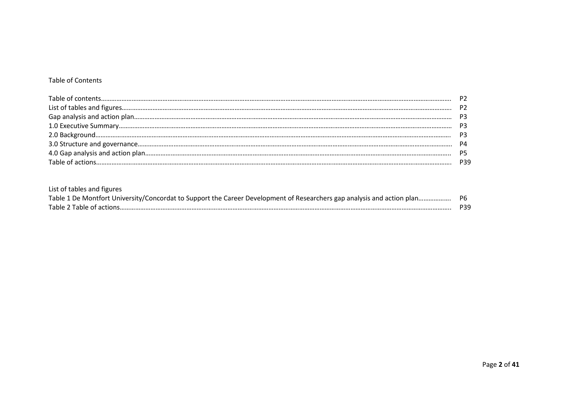#### Table of Contents

| P <sub>2</sub> |
|----------------|
| P3             |
| P3             |
|                |
| P4             |
| <b>P5</b>      |
|                |

| List of tables and figures |     |
|----------------------------|-----|
|                            |     |
| Table 2 Table of actions   | P39 |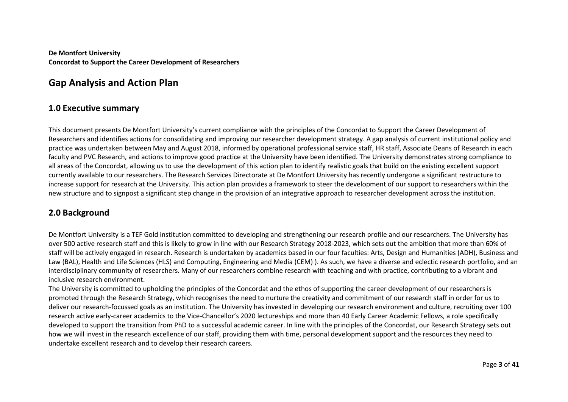**De Montfort University Concordat to Support the Career Development of Researchers**

## **Gap Analysis and Action Plan**

#### **1.0 Executive summary**

This document presents De Montfort University's current compliance with the principles of the Concordat to Support the Career Development of Researchers and identifies actions for consolidating and improving our researcher development strategy. A gap analysis of current institutional policy and practice was undertaken between May and August 2018, informed by operational professional service staff, HR staff, Associate Deans of Research in each faculty and PVC Research, and actions to improve good practice at the University have been identified. The University demonstrates strong compliance to all areas of the Concordat, allowing us to use the development of this action plan to identify realistic goals that build on the existing excellent support currently available to our researchers. The Research Services Directorate at De Montfort University has recently undergone a significant restructure to increase support for research at the University. This action plan provides a framework to steer the development of our support to researchers within the new structure and to signpost a significant step change in the provision of an integrative approach to researcher development across the institution.

#### **2.0 Background**

De Montfort University is a TEF Gold institution committed to developing and strengthening our research profile and our researchers. The University has over 500 active research staff and this is likely to grow in line with our Research Strategy 2018-2023, which sets out the ambition that more than 60% of staff will be actively engaged in research. Research is undertaken by academics based in our four faculties: Arts, Design and Humanities (ADH), Business and Law (BAL), Health and Life Sciences (HLS) and Computing, Engineering and Media (CEM) ). As such, we have a diverse and eclectic research portfolio, and an interdisciplinary community of researchers. Many of our researchers combine research with teaching and with practice, contributing to a vibrant and inclusive research environment.

The University is committed to upholding the principles of the Concordat and the ethos of supporting the career development of our researchers is promoted through the Research Strategy, which recognises the need to nurture the creativity and commitment of our research staff in order for us to deliver our research-focussed goals as an institution. The University has invested in developing our research environment and culture, recruiting over 100 research active early-career academics to the Vice-Chancellor's 2020 lectureships and more than 40 Early Career Academic Fellows, a role specifically developed to support the transition from PhD to a successful academic career. In line with the principles of the Concordat, our Research Strategy sets out how we will invest in the research excellence of our staff, providing them with time, personal development support and the resources they need to undertake excellent research and to develop their research careers.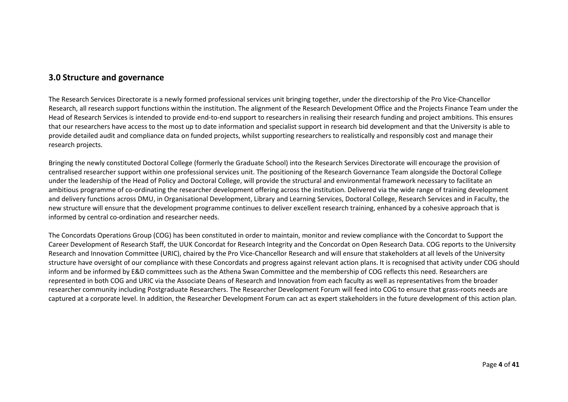#### **3.0 Structure and governance**

The Research Services Directorate is a newly formed professional services unit bringing together, under the directorship of the Pro Vice-Chancellor Research, all research support functions within the institution. The alignment of the Research Development Office and the Projects Finance Team under the Head of Research Services is intended to provide end-to-end support to researchers in realising their research funding and project ambitions. This ensures that our researchers have access to the most up to date information and specialist support in research bid development and that the University is able to provide detailed audit and compliance data on funded projects, whilst supporting researchers to realistically and responsibly cost and manage their research projects.

Bringing the newly constituted Doctoral College (formerly the Graduate School) into the Research Services Directorate will encourage the provision of centralised researcher support within one professional services unit. The positioning of the Research Governance Team alongside the Doctoral College under the leadership of the Head of Policy and Doctoral College, will provide the structural and environmental framework necessary to facilitate an ambitious programme of co-ordinating the researcher development offering across the institution. Delivered via the wide range of training development and delivery functions across DMU, in Organisational Development, Library and Learning Services, Doctoral College, Research Services and in Faculty, the new structure will ensure that the development programme continues to deliver excellent research training, enhanced by a cohesive approach that is informed by central co-ordination and researcher needs.

The Concordats Operations Group (COG) has been constituted in order to maintain, monitor and review compliance with the Concordat to Support the Career Development of Research Staff, the UUK Concordat for Research Integrity and the Concordat on Open Research Data. COG reports to the University Research and Innovation Committee (URIC), chaired by the Pro Vice-Chancellor Research and will ensure that stakeholders at all levels of the University structure have oversight of our compliance with these Concordats and progress against relevant action plans. It is recognised that activity under COG should inform and be informed by E&D committees such as the Athena Swan Committee and the membership of COG reflects this need. Researchers are represented in both COG and URIC via the Associate Deans of Research and Innovation from each faculty as well as representatives from the broader researcher community including Postgraduate Researchers. The Researcher Development Forum will feed into COG to ensure that grass-roots needs are captured at a corporate level. In addition, the Researcher Development Forum can act as expert stakeholders in the future development of this action plan.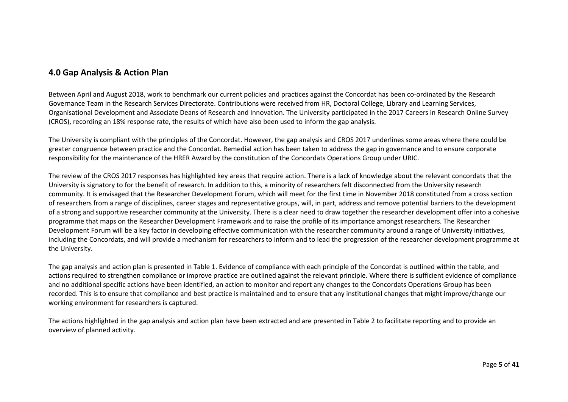### **4.0 Gap Analysis & Action Plan**

Between April and August 2018, work to benchmark our current policies and practices against the Concordat has been co-ordinated by the Research Governance Team in the Research Services Directorate. Contributions were received from HR, Doctoral College, Library and Learning Services, Organisational Development and Associate Deans of Research and Innovation. The University participated in the 2017 Careers in Research Online Survey (CROS), recording an 18% response rate, the results of which have also been used to inform the gap analysis.

The University is compliant with the principles of the Concordat. However, the gap analysis and CROS 2017 underlines some areas where there could be greater congruence between practice and the Concordat. Remedial action has been taken to address the gap in governance and to ensure corporate responsibility for the maintenance of the HRER Award by the constitution of the Concordats Operations Group under URIC.

The review of the CROS 2017 responses has highlighted key areas that require action. There is a lack of knowledge about the relevant concordats that the University is signatory to for the benefit of research. In addition to this, a minority of researchers felt disconnected from the University research community. It is envisaged that the Researcher Development Forum, which will meet for the first time in November 2018 constituted from a cross section of researchers from a range of disciplines, career stages and representative groups, will, in part, address and remove potential barriers to the development of a strong and supportive researcher community at the University. There is a clear need to draw together the researcher development offer into a cohesive programme that maps on the Researcher Development Framework and to raise the profile of its importance amongst researchers. The Researcher Development Forum will be a key factor in developing effective communication with the researcher community around a range of University initiatives, including the Concordats, and will provide a mechanism for researchers to inform and to lead the progression of the researcher development programme at the University.

The gap analysis and action plan is presented in Table 1. Evidence of compliance with each principle of the Concordat is outlined within the table, and actions required to strengthen compliance or improve practice are outlined against the relevant principle. Where there is sufficient evidence of compliance and no additional specific actions have been identified, an action to monitor and report any changes to the Concordats Operations Group has been recorded. This is to ensure that compliance and best practice is maintained and to ensure that any institutional changes that might improve/change our working environment for researchers is captured.

The actions highlighted in the gap analysis and action plan have been extracted and are presented in Table 2 to facilitate reporting and to provide an overview of planned activity.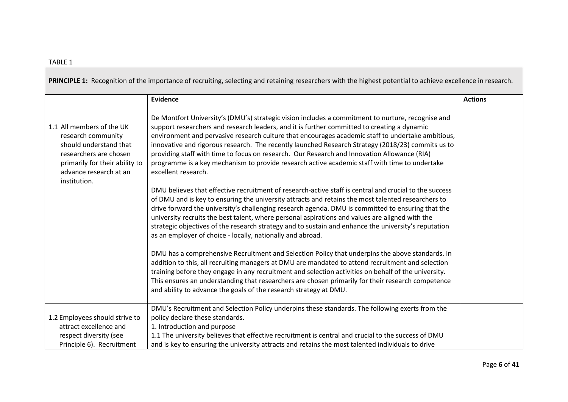|                                                                                                                                                                                 | PRINCIPLE 1: Recognition of the importance of recruiting, selecting and retaining researchers with the highest potential to achieve excellence in research.                                                                                                                                                                                                                                                                                                                                                                                                                                                                                                                                                                                                                                                                                                                                                                                                                                                                                                                                                                                                                                                                                                                                                                                                                                                                                                                                                                                                                                                                                                                                                               |                |
|---------------------------------------------------------------------------------------------------------------------------------------------------------------------------------|---------------------------------------------------------------------------------------------------------------------------------------------------------------------------------------------------------------------------------------------------------------------------------------------------------------------------------------------------------------------------------------------------------------------------------------------------------------------------------------------------------------------------------------------------------------------------------------------------------------------------------------------------------------------------------------------------------------------------------------------------------------------------------------------------------------------------------------------------------------------------------------------------------------------------------------------------------------------------------------------------------------------------------------------------------------------------------------------------------------------------------------------------------------------------------------------------------------------------------------------------------------------------------------------------------------------------------------------------------------------------------------------------------------------------------------------------------------------------------------------------------------------------------------------------------------------------------------------------------------------------------------------------------------------------------------------------------------------------|----------------|
|                                                                                                                                                                                 | <b>Evidence</b>                                                                                                                                                                                                                                                                                                                                                                                                                                                                                                                                                                                                                                                                                                                                                                                                                                                                                                                                                                                                                                                                                                                                                                                                                                                                                                                                                                                                                                                                                                                                                                                                                                                                                                           | <b>Actions</b> |
| 1.1 All members of the UK<br>research community<br>should understand that<br>researchers are chosen<br>primarily for their ability to<br>advance research at an<br>institution. | De Montfort University's (DMU's) strategic vision includes a commitment to nurture, recognise and<br>support researchers and research leaders, and it is further committed to creating a dynamic<br>environment and pervasive research culture that encourages academic staff to undertake ambitious,<br>innovative and rigorous research. The recently launched Research Strategy (2018/23) commits us to<br>providing staff with time to focus on research. Our Research and Innovation Allowance (RIA)<br>programme is a key mechanism to provide research active academic staff with time to undertake<br>excellent research.<br>DMU believes that effective recruitment of research-active staff is central and crucial to the success<br>of DMU and is key to ensuring the university attracts and retains the most talented researchers to<br>drive forward the university's challenging research agenda. DMU is committed to ensuring that the<br>university recruits the best talent, where personal aspirations and values are aligned with the<br>strategic objectives of the research strategy and to sustain and enhance the university's reputation<br>as an employer of choice - locally, nationally and abroad.<br>DMU has a comprehensive Recruitment and Selection Policy that underpins the above standards. In<br>addition to this, all recruiting managers at DMU are mandated to attend recruitment and selection<br>training before they engage in any recruitment and selection activities on behalf of the university.<br>This ensures an understanding that researchers are chosen primarily for their research competence<br>and ability to advance the goals of the research strategy at DMU. |                |
| 1.2 Employees should strive to<br>attract excellence and<br>respect diversity (see<br>Principle 6). Recruitment                                                                 | DMU's Recruitment and Selection Policy underpins these standards. The following exerts from the<br>policy declare these standards.<br>1. Introduction and purpose<br>1.1 The university believes that effective recruitment is central and crucial to the success of DMU<br>and is key to ensuring the university attracts and retains the most talented individuals to drive                                                                                                                                                                                                                                                                                                                                                                                                                                                                                                                                                                                                                                                                                                                                                                                                                                                                                                                                                                                                                                                                                                                                                                                                                                                                                                                                             |                |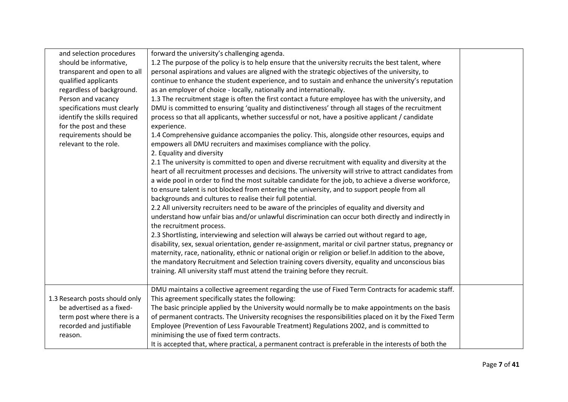| and selection procedures       | forward the university's challenging agenda.                                                             |  |
|--------------------------------|----------------------------------------------------------------------------------------------------------|--|
| should be informative,         | 1.2 The purpose of the policy is to help ensure that the university recruits the best talent, where      |  |
| transparent and open to all    | personal aspirations and values are aligned with the strategic objectives of the university, to          |  |
| qualified applicants           | continue to enhance the student experience, and to sustain and enhance the university's reputation       |  |
| regardless of background.      | as an employer of choice - locally, nationally and internationally.                                      |  |
| Person and vacancy             | 1.3 The recruitment stage is often the first contact a future employee has with the university, and      |  |
| specifications must clearly    | DMU is committed to ensuring 'quality and distinctiveness' through all stages of the recruitment         |  |
| identify the skills required   | process so that all applicants, whether successful or not, have a positive applicant / candidate         |  |
| for the post and these         | experience.                                                                                              |  |
| requirements should be         | 1.4 Comprehensive guidance accompanies the policy. This, alongside other resources, equips and           |  |
| relevant to the role.          | empowers all DMU recruiters and maximises compliance with the policy.                                    |  |
|                                | 2. Equality and diversity                                                                                |  |
|                                | 2.1 The university is committed to open and diverse recruitment with equality and diversity at the       |  |
|                                | heart of all recruitment processes and decisions. The university will strive to attract candidates from  |  |
|                                | a wide pool in order to find the most suitable candidate for the job, to achieve a diverse workforce,    |  |
|                                | to ensure talent is not blocked from entering the university, and to support people from all             |  |
|                                | backgrounds and cultures to realise their full potential.                                                |  |
|                                | 2.2 All university recruiters need to be aware of the principles of equality and diversity and           |  |
|                                | understand how unfair bias and/or unlawful discrimination can occur both directly and indirectly in      |  |
|                                | the recruitment process.                                                                                 |  |
|                                | 2.3 Shortlisting, interviewing and selection will always be carried out without regard to age,           |  |
|                                | disability, sex, sexual orientation, gender re-assignment, marital or civil partner status, pregnancy or |  |
|                                | maternity, race, nationality, ethnic or national origin or religion or belief. In addition to the above, |  |
|                                | the mandatory Recruitment and Selection training covers diversity, equality and unconscious bias         |  |
|                                | training. All university staff must attend the training before they recruit.                             |  |
|                                |                                                                                                          |  |
|                                | DMU maintains a collective agreement regarding the use of Fixed Term Contracts for academic staff.       |  |
| 1.3 Research posts should only | This agreement specifically states the following:                                                        |  |
| be advertised as a fixed-      | The basic principle applied by the University would normally be to make appointments on the basis        |  |
| term post where there is a     | of permanent contracts. The University recognises the responsibilities placed on it by the Fixed Term    |  |
| recorded and justifiable       | Employee (Prevention of Less Favourable Treatment) Regulations 2002, and is committed to                 |  |
| reason.                        | minimising the use of fixed term contracts.                                                              |  |
|                                | It is accepted that, where practical, a permanent contract is preferable in the interests of both the    |  |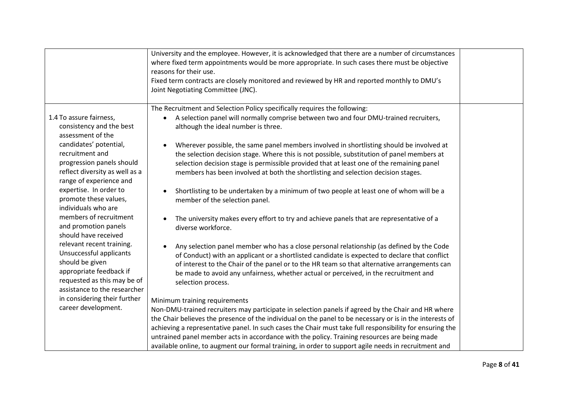|                                                                                                                                           | University and the employee. However, it is acknowledged that there are a number of circumstances<br>where fixed term appointments would be more appropriate. In such cases there must be objective<br>reasons for their use.<br>Fixed term contracts are closely monitored and reviewed by HR and reported monthly to DMU's<br>Joint Negotiating Committee (JNC).                                                                                                                                                                                                  |  |
|-------------------------------------------------------------------------------------------------------------------------------------------|---------------------------------------------------------------------------------------------------------------------------------------------------------------------------------------------------------------------------------------------------------------------------------------------------------------------------------------------------------------------------------------------------------------------------------------------------------------------------------------------------------------------------------------------------------------------|--|
| 1.4 To assure fairness,<br>consistency and the best<br>assessment of the<br>candidates' potential,<br>recruitment and                     | The Recruitment and Selection Policy specifically requires the following:<br>A selection panel will normally comprise between two and four DMU-trained recruiters,<br>$\bullet$<br>although the ideal number is three.<br>Wherever possible, the same panel members involved in shortlisting should be involved at<br>the selection decision stage. Where this is not possible, substitution of panel members at                                                                                                                                                    |  |
| progression panels should<br>reflect diversity as well as a<br>range of experience and<br>expertise. In order to<br>promote these values, | selection decision stage is permissible provided that at least one of the remaining panel<br>members has been involved at both the shortlisting and selection decision stages.<br>Shortlisting to be undertaken by a minimum of two people at least one of whom will be a<br>member of the selection panel.                                                                                                                                                                                                                                                         |  |
| individuals who are<br>members of recruitment<br>and promotion panels<br>should have received<br>relevant recent training.                | The university makes every effort to try and achieve panels that are representative of a<br>diverse workforce.<br>Any selection panel member who has a close personal relationship (as defined by the Code                                                                                                                                                                                                                                                                                                                                                          |  |
| Unsuccessful applicants<br>should be given<br>appropriate feedback if<br>requested as this may be of<br>assistance to the researcher      | of Conduct) with an applicant or a shortlisted candidate is expected to declare that conflict<br>of interest to the Chair of the panel or to the HR team so that alternative arrangements can<br>be made to avoid any unfairness, whether actual or perceived, in the recruitment and<br>selection process.                                                                                                                                                                                                                                                         |  |
| in considering their further<br>career development.                                                                                       | Minimum training requirements<br>Non-DMU-trained recruiters may participate in selection panels if agreed by the Chair and HR where<br>the Chair believes the presence of the individual on the panel to be necessary or is in the interests of<br>achieving a representative panel. In such cases the Chair must take full responsibility for ensuring the<br>untrained panel member acts in accordance with the policy. Training resources are being made<br>available online, to augment our formal training, in order to support agile needs in recruitment and |  |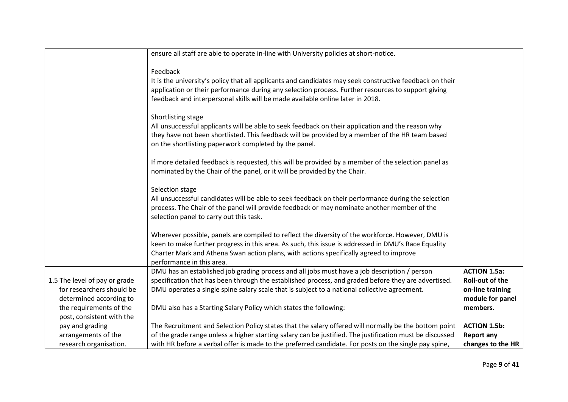|                               | ensure all staff are able to operate in-line with University policies at short-notice.                   |                        |
|-------------------------------|----------------------------------------------------------------------------------------------------------|------------------------|
|                               |                                                                                                          |                        |
|                               | Feedback                                                                                                 |                        |
|                               | It is the university's policy that all applicants and candidates may seek constructive feedback on their |                        |
|                               | application or their performance during any selection process. Further resources to support giving       |                        |
|                               | feedback and interpersonal skills will be made available online later in 2018.                           |                        |
|                               |                                                                                                          |                        |
|                               | Shortlisting stage                                                                                       |                        |
|                               | All unsuccessful applicants will be able to seek feedback on their application and the reason why        |                        |
|                               | they have not been shortlisted. This feedback will be provided by a member of the HR team based          |                        |
|                               | on the shortlisting paperwork completed by the panel.                                                    |                        |
|                               |                                                                                                          |                        |
|                               | If more detailed feedback is requested, this will be provided by a member of the selection panel as      |                        |
|                               | nominated by the Chair of the panel, or it will be provided by the Chair.                                |                        |
|                               |                                                                                                          |                        |
|                               | Selection stage                                                                                          |                        |
|                               | All unsuccessful candidates will be able to seek feedback on their performance during the selection      |                        |
|                               | process. The Chair of the panel will provide feedback or may nominate another member of the              |                        |
|                               | selection panel to carry out this task.                                                                  |                        |
|                               |                                                                                                          |                        |
|                               | Wherever possible, panels are compiled to reflect the diversity of the workforce. However, DMU is        |                        |
|                               | keen to make further progress in this area. As such, this issue is addressed in DMU's Race Equality      |                        |
|                               | Charter Mark and Athena Swan action plans, with actions specifically agreed to improve                   |                        |
|                               | performance in this area.                                                                                |                        |
|                               | DMU has an established job grading process and all jobs must have a job description / person             | <b>ACTION 1.5a:</b>    |
| 1.5 The level of pay or grade | specification that has been through the established process, and graded before they are advertised.      | <b>Roll-out of the</b> |
| for researchers should be     | DMU operates a single spine salary scale that is subject to a national collective agreement.             | on-line training       |
| determined according to       |                                                                                                          | module for panel       |
| the requirements of the       | DMU also has a Starting Salary Policy which states the following:                                        | members.               |
| post, consistent with the     |                                                                                                          |                        |
| pay and grading               | The Recruitment and Selection Policy states that the salary offered will normally be the bottom point    | <b>ACTION 1.5b:</b>    |
| arrangements of the           | of the grade range unless a higher starting salary can be justified. The justification must be discussed | <b>Report any</b>      |
| research organisation.        | with HR before a verbal offer is made to the preferred candidate. For posts on the single pay spine,     | changes to the HR      |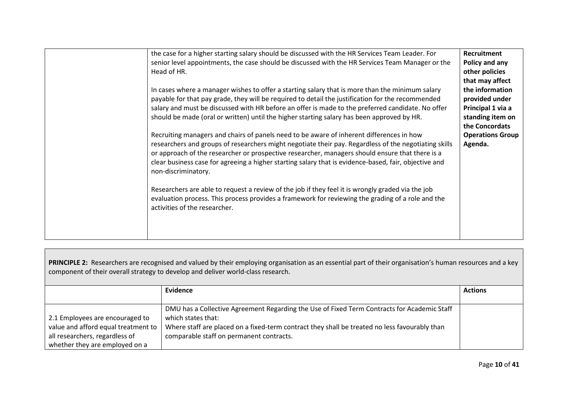| the case for a higher starting salary should be discussed with the HR Services Team Leader. For<br>senior level appointments, the case should be discussed with the HR Services Team Manager or the<br>Head of HR.<br>In cases where a manager wishes to offer a starting salary that is more than the minimum salary<br>payable for that pay grade, they will be required to detail the justification for the recommended<br>salary and must be discussed with HR before an offer is made to the preferred candidate. No offer<br>should be made (oral or written) until the higher starting salary has been approved by HR.<br>Recruiting managers and chairs of panels need to be aware of inherent differences in how<br>researchers and groups of researchers might negotiate their pay. Regardless of the negotiating skills<br>or approach of the researcher or prospective researcher, managers should ensure that there is a<br>clear business case for agreeing a higher starting salary that is evidence-based, fair, objective and<br>non-discriminatory.<br>Researchers are able to request a review of the job if they feel it is wrongly graded via the job | Recruitment<br>Policy and any<br>other policies<br>that may affect<br>the information<br>provided under<br>Principal 1 via a<br>standing item on<br>the Concordats<br><b>Operations Group</b><br>Agenda. |
|----------------------------------------------------------------------------------------------------------------------------------------------------------------------------------------------------------------------------------------------------------------------------------------------------------------------------------------------------------------------------------------------------------------------------------------------------------------------------------------------------------------------------------------------------------------------------------------------------------------------------------------------------------------------------------------------------------------------------------------------------------------------------------------------------------------------------------------------------------------------------------------------------------------------------------------------------------------------------------------------------------------------------------------------------------------------------------------------------------------------------------------------------------------------------|----------------------------------------------------------------------------------------------------------------------------------------------------------------------------------------------------------|
| evaluation process. This process provides a framework for reviewing the grading of a role and the<br>activities of the researcher.                                                                                                                                                                                                                                                                                                                                                                                                                                                                                                                                                                                                                                                                                                                                                                                                                                                                                                                                                                                                                                         |                                                                                                                                                                                                          |

| PRINCIPLE 2: Researchers are recognised and valued by their employing organisation as an essential part of their organisation's human resources and a key<br>component of their overall strategy to develop and deliver world-class research. |                                                                                                                                                                                                                                                                |                |  |
|-----------------------------------------------------------------------------------------------------------------------------------------------------------------------------------------------------------------------------------------------|----------------------------------------------------------------------------------------------------------------------------------------------------------------------------------------------------------------------------------------------------------------|----------------|--|
|                                                                                                                                                                                                                                               | Evidence                                                                                                                                                                                                                                                       | <b>Actions</b> |  |
| 2.1 Employees are encouraged to<br>value and afford equal treatment to<br>all researchers, regardless of                                                                                                                                      | DMU has a Collective Agreement Regarding the Use of Fixed Term Contracts for Academic Staff<br>which states that:<br>Where staff are placed on a fixed-term contract they shall be treated no less favourably than<br>comparable staff on permanent contracts. |                |  |
| whether they are employed on a                                                                                                                                                                                                                |                                                                                                                                                                                                                                                                |                |  |

 $\Box$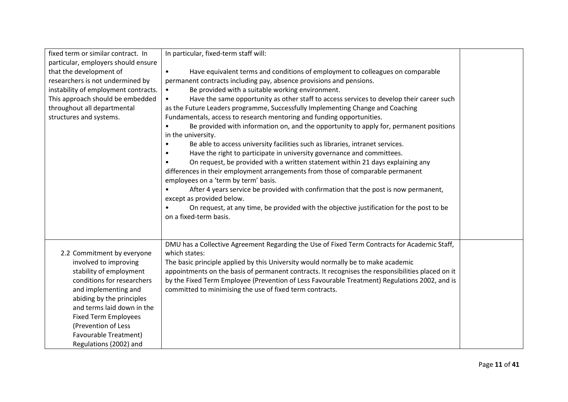| fixed term or similar contract. In   | In particular, fixed-term staff will:                                                             |  |
|--------------------------------------|---------------------------------------------------------------------------------------------------|--|
| particular, employers should ensure  |                                                                                                   |  |
| that the development of              | Have equivalent terms and conditions of employment to colleagues on comparable<br>$\bullet$       |  |
| researchers is not undermined by     | permanent contracts including pay, absence provisions and pensions.                               |  |
| instability of employment contracts. | Be provided with a suitable working environment.                                                  |  |
| This approach should be embedded     | Have the same opportunity as other staff to access services to develop their career such          |  |
| throughout all departmental          | as the Future Leaders programme, Successfully Implementing Change and Coaching                    |  |
| structures and systems.              | Fundamentals, access to research mentoring and funding opportunities.                             |  |
|                                      | Be provided with information on, and the opportunity to apply for, permanent positions            |  |
|                                      | in the university.                                                                                |  |
|                                      | Be able to access university facilities such as libraries, intranet services.<br>$\bullet$        |  |
|                                      | Have the right to participate in university governance and committees.                            |  |
|                                      | On request, be provided with a written statement within 21 days explaining any                    |  |
|                                      | differences in their employment arrangements from those of comparable permanent                   |  |
|                                      | employees on a 'term by term' basis.                                                              |  |
|                                      | After 4 years service be provided with confirmation that the post is now permanent,               |  |
|                                      | except as provided below.                                                                         |  |
|                                      | On request, at any time, be provided with the objective justification for the post to be          |  |
|                                      | on a fixed-term basis.                                                                            |  |
|                                      |                                                                                                   |  |
|                                      |                                                                                                   |  |
|                                      | DMU has a Collective Agreement Regarding the Use of Fixed Term Contracts for Academic Staff,      |  |
| 2.2 Commitment by everyone           | which states:                                                                                     |  |
| involved to improving                | The basic principle applied by this University would normally be to make academic                 |  |
| stability of employment              | appointments on the basis of permanent contracts. It recognises the responsibilities placed on it |  |
| conditions for researchers           | by the Fixed Term Employee (Prevention of Less Favourable Treatment) Regulations 2002, and is     |  |
| and implementing and                 | committed to minimising the use of fixed term contracts.                                          |  |
| abiding by the principles            |                                                                                                   |  |
| and terms laid down in the           |                                                                                                   |  |
| <b>Fixed Term Employees</b>          |                                                                                                   |  |
| (Prevention of Less                  |                                                                                                   |  |
| Favourable Treatment)                |                                                                                                   |  |
| Regulations (2002) and               |                                                                                                   |  |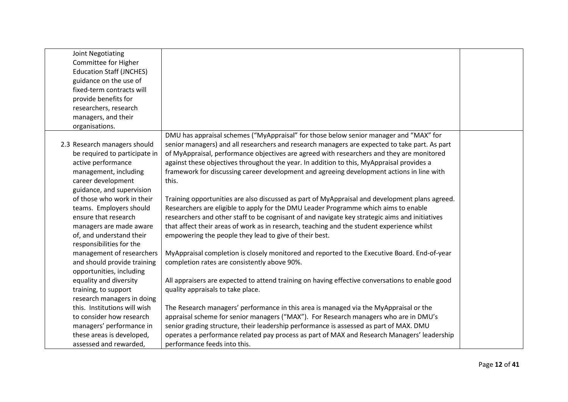| Joint Negotiating               |                                                                                                 |  |
|---------------------------------|-------------------------------------------------------------------------------------------------|--|
| Committee for Higher            |                                                                                                 |  |
| <b>Education Staff (JNCHES)</b> |                                                                                                 |  |
| guidance on the use of          |                                                                                                 |  |
| fixed-term contracts will       |                                                                                                 |  |
| provide benefits for            |                                                                                                 |  |
| researchers, research           |                                                                                                 |  |
| managers, and their             |                                                                                                 |  |
| organisations.                  |                                                                                                 |  |
|                                 | DMU has appraisal schemes ("MyAppraisal" for those below senior manager and "MAX" for           |  |
| 2.3 Research managers should    | senior managers) and all researchers and research managers are expected to take part. As part   |  |
| be required to participate in   | of MyAppraisal, performance objectives are agreed with researchers and they are monitored       |  |
| active performance              | against these objectives throughout the year. In addition to this, MyAppraisal provides a       |  |
| management, including           | framework for discussing career development and agreeing development actions in line with       |  |
| career development              | this.                                                                                           |  |
| guidance, and supervision       |                                                                                                 |  |
| of those who work in their      | Training opportunities are also discussed as part of MyAppraisal and development plans agreed.  |  |
| teams. Employers should         | Researchers are eligible to apply for the DMU Leader Programme which aims to enable             |  |
| ensure that research            | researchers and other staff to be cognisant of and navigate key strategic aims and initiatives  |  |
| managers are made aware         | that affect their areas of work as in research, teaching and the student experience whilst      |  |
| of, and understand their        | empowering the people they lead to give of their best.                                          |  |
| responsibilities for the        |                                                                                                 |  |
| management of researchers       | MyAppraisal completion is closely monitored and reported to the Executive Board. End-of-year    |  |
| and should provide training     | completion rates are consistently above 90%.                                                    |  |
| opportunities, including        |                                                                                                 |  |
| equality and diversity          | All appraisers are expected to attend training on having effective conversations to enable good |  |
| training, to support            | quality appraisals to take place.                                                               |  |
| research managers in doing      |                                                                                                 |  |
| this. Institutions will wish    | The Research managers' performance in this area is managed via the MyAppraisal or the           |  |
| to consider how research        | appraisal scheme for senior managers ("MAX"). For Research managers who are in DMU's            |  |
| managers' performance in        | senior grading structure, their leadership performance is assessed as part of MAX. DMU          |  |
| these areas is developed,       | operates a performance related pay process as part of MAX and Research Managers' leadership     |  |
| assessed and rewarded,          | performance feeds into this.                                                                    |  |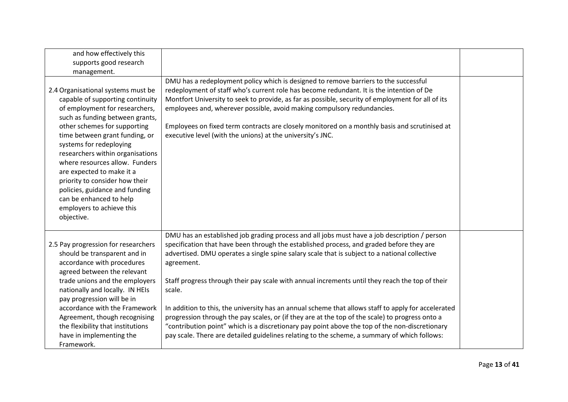| and how effectively this                                                                                                                                                                                                                                                                                                                                                             |                                                                                                                                                                                                                                                                                                                                                                                                                                                                                                                                                                                                                                                                                                                                                                                                                                  |  |
|--------------------------------------------------------------------------------------------------------------------------------------------------------------------------------------------------------------------------------------------------------------------------------------------------------------------------------------------------------------------------------------|----------------------------------------------------------------------------------------------------------------------------------------------------------------------------------------------------------------------------------------------------------------------------------------------------------------------------------------------------------------------------------------------------------------------------------------------------------------------------------------------------------------------------------------------------------------------------------------------------------------------------------------------------------------------------------------------------------------------------------------------------------------------------------------------------------------------------------|--|
| supports good research                                                                                                                                                                                                                                                                                                                                                               |                                                                                                                                                                                                                                                                                                                                                                                                                                                                                                                                                                                                                                                                                                                                                                                                                                  |  |
| management.                                                                                                                                                                                                                                                                                                                                                                          |                                                                                                                                                                                                                                                                                                                                                                                                                                                                                                                                                                                                                                                                                                                                                                                                                                  |  |
| 2.4 Organisational systems must be                                                                                                                                                                                                                                                                                                                                                   | DMU has a redeployment policy which is designed to remove barriers to the successful<br>redeployment of staff who's current role has become redundant. It is the intention of De                                                                                                                                                                                                                                                                                                                                                                                                                                                                                                                                                                                                                                                 |  |
| capable of supporting continuity<br>of employment for researchers,<br>such as funding between grants,                                                                                                                                                                                                                                                                                | Montfort University to seek to provide, as far as possible, security of employment for all of its<br>employees and, wherever possible, avoid making compulsory redundancies.                                                                                                                                                                                                                                                                                                                                                                                                                                                                                                                                                                                                                                                     |  |
| other schemes for supporting<br>time between grant funding, or<br>systems for redeploying<br>researchers within organisations<br>where resources allow. Funders<br>are expected to make it a<br>priority to consider how their<br>policies, guidance and funding<br>can be enhanced to help<br>employers to achieve this<br>objective.                                               | Employees on fixed term contracts are closely monitored on a monthly basis and scrutinised at<br>executive level (with the unions) at the university's JNC.                                                                                                                                                                                                                                                                                                                                                                                                                                                                                                                                                                                                                                                                      |  |
| 2.5 Pay progression for researchers<br>should be transparent and in<br>accordance with procedures<br>agreed between the relevant<br>trade unions and the employers<br>nationally and locally. IN HEIs<br>pay progression will be in<br>accordance with the Framework<br>Agreement, though recognising<br>the flexibility that institutions<br>have in implementing the<br>Framework. | DMU has an established job grading process and all jobs must have a job description / person<br>specification that have been through the established process, and graded before they are<br>advertised. DMU operates a single spine salary scale that is subject to a national collective<br>agreement.<br>Staff progress through their pay scale with annual increments until they reach the top of their<br>scale.<br>In addition to this, the university has an annual scheme that allows staff to apply for accelerated<br>progression through the pay scales, or (if they are at the top of the scale) to progress onto a<br>"contribution point" which is a discretionary pay point above the top of the non-discretionary<br>pay scale. There are detailed guidelines relating to the scheme, a summary of which follows: |  |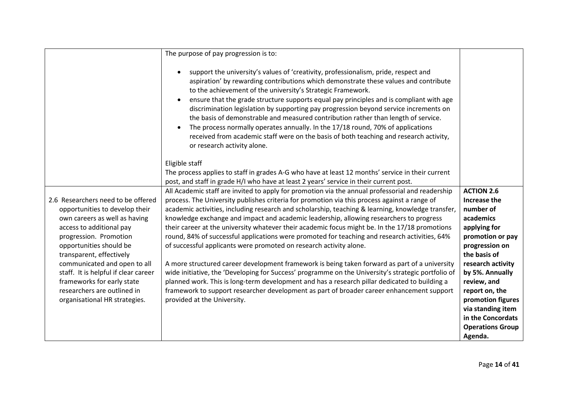|                                                                    | The purpose of pay progression is to:                                                                                                                                                                                                                                                                                                                                                                                                                                                                                                                                                                                                                                                                                            |                                |
|--------------------------------------------------------------------|----------------------------------------------------------------------------------------------------------------------------------------------------------------------------------------------------------------------------------------------------------------------------------------------------------------------------------------------------------------------------------------------------------------------------------------------------------------------------------------------------------------------------------------------------------------------------------------------------------------------------------------------------------------------------------------------------------------------------------|--------------------------------|
|                                                                    |                                                                                                                                                                                                                                                                                                                                                                                                                                                                                                                                                                                                                                                                                                                                  |                                |
|                                                                    | support the university's values of 'creativity, professionalism, pride, respect and<br>aspiration' by rewarding contributions which demonstrate these values and contribute<br>to the achievement of the university's Strategic Framework.<br>ensure that the grade structure supports equal pay principles and is compliant with age<br>discrimination legislation by supporting pay progression beyond service increments on<br>the basis of demonstrable and measured contribution rather than length of service.<br>The process normally operates annually. In the 17/18 round, 70% of applications<br>received from academic staff were on the basis of both teaching and research activity,<br>or research activity alone. |                                |
|                                                                    | Eligible staff                                                                                                                                                                                                                                                                                                                                                                                                                                                                                                                                                                                                                                                                                                                   |                                |
|                                                                    | The process applies to staff in grades A-G who have at least 12 months' service in their current                                                                                                                                                                                                                                                                                                                                                                                                                                                                                                                                                                                                                                 |                                |
|                                                                    | post, and staff in grade H/I who have at least 2 years' service in their current post.                                                                                                                                                                                                                                                                                                                                                                                                                                                                                                                                                                                                                                           |                                |
|                                                                    | All Academic staff are invited to apply for promotion via the annual professorial and readership                                                                                                                                                                                                                                                                                                                                                                                                                                                                                                                                                                                                                                 | <b>ACTION 2.6</b>              |
| 2.6 Researchers need to be offered                                 | process. The University publishes criteria for promotion via this process against a range of                                                                                                                                                                                                                                                                                                                                                                                                                                                                                                                                                                                                                                     | Increase the                   |
| opportunities to develop their                                     | academic activities, including research and scholarship, teaching & learning, knowledge transfer,                                                                                                                                                                                                                                                                                                                                                                                                                                                                                                                                                                                                                                | number of                      |
| own careers as well as having                                      | knowledge exchange and impact and academic leadership, allowing researchers to progress                                                                                                                                                                                                                                                                                                                                                                                                                                                                                                                                                                                                                                          | academics                      |
| access to additional pay                                           | their career at the university whatever their academic focus might be. In the 17/18 promotions                                                                                                                                                                                                                                                                                                                                                                                                                                                                                                                                                                                                                                   | applying for                   |
| progression. Promotion                                             | round, 84% of successful applications were promoted for teaching and research activities, 64%                                                                                                                                                                                                                                                                                                                                                                                                                                                                                                                                                                                                                                    | promotion or pay               |
| opportunities should be                                            | of successful applicants were promoted on research activity alone.                                                                                                                                                                                                                                                                                                                                                                                                                                                                                                                                                                                                                                                               | progression on                 |
| transparent, effectively                                           |                                                                                                                                                                                                                                                                                                                                                                                                                                                                                                                                                                                                                                                                                                                                  | the basis of                   |
| communicated and open to all                                       | A more structured career development framework is being taken forward as part of a university<br>wide initiative, the 'Developing for Success' programme on the University's strategic portfolio of                                                                                                                                                                                                                                                                                                                                                                                                                                                                                                                              | research activity              |
| staff. It is helpful if clear career<br>frameworks for early state | planned work. This is long-term development and has a research pillar dedicated to building a                                                                                                                                                                                                                                                                                                                                                                                                                                                                                                                                                                                                                                    | by 5%. Annually<br>review, and |
| researchers are outlined in                                        | framework to support researcher development as part of broader career enhancement support                                                                                                                                                                                                                                                                                                                                                                                                                                                                                                                                                                                                                                        | report on, the                 |
| organisational HR strategies.                                      | provided at the University.                                                                                                                                                                                                                                                                                                                                                                                                                                                                                                                                                                                                                                                                                                      | promotion figures              |
|                                                                    |                                                                                                                                                                                                                                                                                                                                                                                                                                                                                                                                                                                                                                                                                                                                  | via standing item              |
|                                                                    |                                                                                                                                                                                                                                                                                                                                                                                                                                                                                                                                                                                                                                                                                                                                  | in the Concordats              |
|                                                                    |                                                                                                                                                                                                                                                                                                                                                                                                                                                                                                                                                                                                                                                                                                                                  | <b>Operations Group</b>        |
|                                                                    |                                                                                                                                                                                                                                                                                                                                                                                                                                                                                                                                                                                                                                                                                                                                  | Agenda.                        |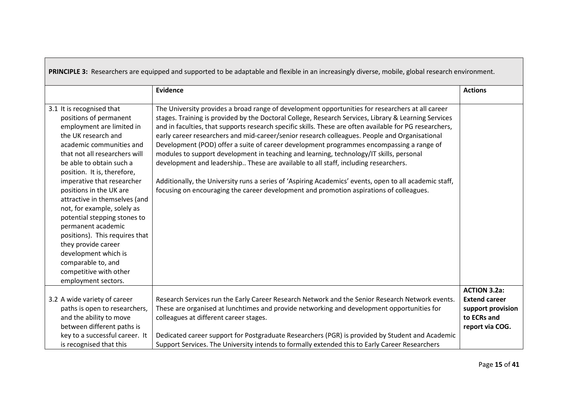| PRINCIPLE 3: Researchers are equipped and supported to be adaptable and flexible in an increasingly diverse, mobile, global research environment.                                                                                                                                                                                                                                                                                                                                                                                                                      |                                                                                                                                                                                                                                                                                                                                                                                                                                                                                                                                                                                                                                                                                                                                                                                                                                                                                                         |                                  |
|------------------------------------------------------------------------------------------------------------------------------------------------------------------------------------------------------------------------------------------------------------------------------------------------------------------------------------------------------------------------------------------------------------------------------------------------------------------------------------------------------------------------------------------------------------------------|---------------------------------------------------------------------------------------------------------------------------------------------------------------------------------------------------------------------------------------------------------------------------------------------------------------------------------------------------------------------------------------------------------------------------------------------------------------------------------------------------------------------------------------------------------------------------------------------------------------------------------------------------------------------------------------------------------------------------------------------------------------------------------------------------------------------------------------------------------------------------------------------------------|----------------------------------|
|                                                                                                                                                                                                                                                                                                                                                                                                                                                                                                                                                                        | Evidence                                                                                                                                                                                                                                                                                                                                                                                                                                                                                                                                                                                                                                                                                                                                                                                                                                                                                                | <b>Actions</b>                   |
| 3.1 It is recognised that<br>positions of permanent<br>employment are limited in<br>the UK research and<br>academic communities and<br>that not all researchers will<br>be able to obtain such a<br>position. It is, therefore,<br>imperative that researcher<br>positions in the UK are<br>attractive in themselves (and<br>not, for example, solely as<br>potential stepping stones to<br>permanent academic<br>positions). This requires that<br>they provide career<br>development which is<br>comparable to, and<br>competitive with other<br>employment sectors. | The University provides a broad range of development opportunities for researchers at all career<br>stages. Training is provided by the Doctoral College, Research Services, Library & Learning Services<br>and in faculties, that supports research specific skills. These are often available for PG researchers,<br>early career researchers and mid-career/senior research colleagues. People and Organisational<br>Development (POD) offer a suite of career development programmes encompassing a range of<br>modules to support development in teaching and learning, technology/IT skills, personal<br>development and leadership These are available to all staff, including researchers.<br>Additionally, the University runs a series of 'Aspiring Academics' events, open to all academic staff,<br>focusing on encouraging the career development and promotion aspirations of colleagues. |                                  |
|                                                                                                                                                                                                                                                                                                                                                                                                                                                                                                                                                                        |                                                                                                                                                                                                                                                                                                                                                                                                                                                                                                                                                                                                                                                                                                                                                                                                                                                                                                         | <b>ACTION 3.2a:</b>              |
| 3.2 A wide variety of career                                                                                                                                                                                                                                                                                                                                                                                                                                                                                                                                           | Research Services run the Early Career Research Network and the Senior Research Network events.                                                                                                                                                                                                                                                                                                                                                                                                                                                                                                                                                                                                                                                                                                                                                                                                         | <b>Extend career</b>             |
| paths is open to researchers,                                                                                                                                                                                                                                                                                                                                                                                                                                                                                                                                          | These are organised at lunchtimes and provide networking and development opportunities for                                                                                                                                                                                                                                                                                                                                                                                                                                                                                                                                                                                                                                                                                                                                                                                                              | support provision<br>to ECRs and |
| and the ability to move<br>between different paths is                                                                                                                                                                                                                                                                                                                                                                                                                                                                                                                  | colleagues at different career stages.                                                                                                                                                                                                                                                                                                                                                                                                                                                                                                                                                                                                                                                                                                                                                                                                                                                                  |                                  |
| key to a successful career. It                                                                                                                                                                                                                                                                                                                                                                                                                                                                                                                                         | Dedicated career support for Postgraduate Researchers (PGR) is provided by Student and Academic                                                                                                                                                                                                                                                                                                                                                                                                                                                                                                                                                                                                                                                                                                                                                                                                         | report via COG.                  |
| is recognised that this                                                                                                                                                                                                                                                                                                                                                                                                                                                                                                                                                | Support Services. The University intends to formally extended this to Early Career Researchers                                                                                                                                                                                                                                                                                                                                                                                                                                                                                                                                                                                                                                                                                                                                                                                                          |                                  |
|                                                                                                                                                                                                                                                                                                                                                                                                                                                                                                                                                                        |                                                                                                                                                                                                                                                                                                                                                                                                                                                                                                                                                                                                                                                                                                                                                                                                                                                                                                         |                                  |

┍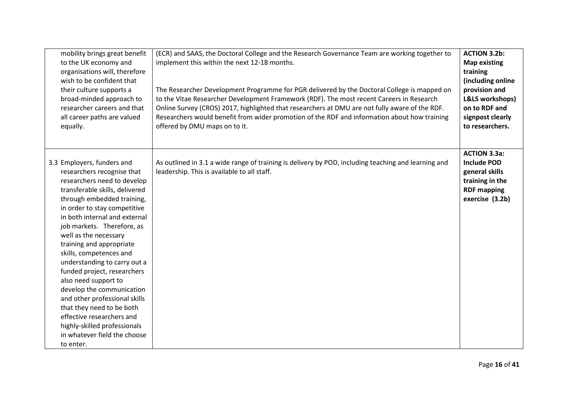| mobility brings great benefit<br>to the UK economy and<br>organisations will, therefore<br>wish to be confident that<br>their culture supports a<br>broad-minded approach to<br>researcher careers and that<br>all career paths are valued<br>equally.                                                                                                                                                                                                                                                                                                                                                                             | (ECR) and SAAS, the Doctoral College and the Research Governance Team are working together to<br>implement this within the next 12-18 months.<br>The Researcher Development Programme for PGR delivered by the Doctoral College is mapped on<br>to the Vitae Researcher Development Framework (RDF). The most recent Careers in Research<br>Online Survey (CROS) 2017, highlighted that researchers at DMU are not fully aware of the RDF.<br>Researchers would benefit from wider promotion of the RDF and information about how training<br>offered by DMU maps on to it. | <b>ACTION 3.2b:</b><br><b>Map existing</b><br>training<br>(including online<br>provision and<br><b>L&amp;LS workshops)</b><br>on to RDF and<br>signpost clearly<br>to researchers. |
|------------------------------------------------------------------------------------------------------------------------------------------------------------------------------------------------------------------------------------------------------------------------------------------------------------------------------------------------------------------------------------------------------------------------------------------------------------------------------------------------------------------------------------------------------------------------------------------------------------------------------------|-----------------------------------------------------------------------------------------------------------------------------------------------------------------------------------------------------------------------------------------------------------------------------------------------------------------------------------------------------------------------------------------------------------------------------------------------------------------------------------------------------------------------------------------------------------------------------|------------------------------------------------------------------------------------------------------------------------------------------------------------------------------------|
| 3.3 Employers, funders and<br>researchers recognise that<br>researchers need to develop<br>transferable skills, delivered<br>through embedded training,<br>in order to stay competitive<br>in both internal and external<br>job markets. Therefore, as<br>well as the necessary<br>training and appropriate<br>skills, competences and<br>understanding to carry out a<br>funded project, researchers<br>also need support to<br>develop the communication<br>and other professional skills<br>that they need to be both<br>effective researchers and<br>highly-skilled professionals<br>in whatever field the choose<br>to enter. | As outlined in 3.1 a wide range of training is delivery by POD, including teaching and learning and<br>leadership. This is available to all staff.                                                                                                                                                                                                                                                                                                                                                                                                                          | <b>ACTION 3.3a:</b><br><b>Include POD</b><br>general skills<br>training in the<br><b>RDF mapping</b><br>exercise (3.2b)                                                            |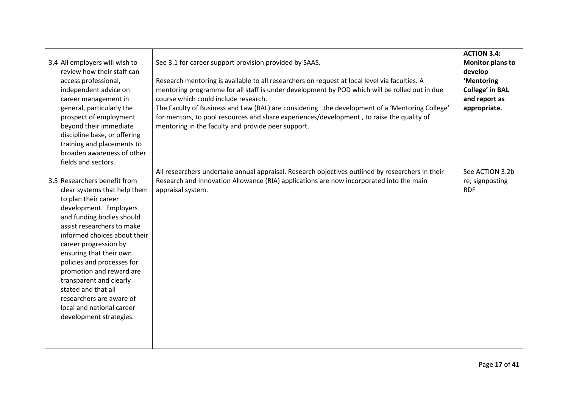| 3.4 All employers will wish to<br>review how their staff can<br>access professional,<br>independent advice on<br>career management in<br>general, particularly the<br>prospect of employment<br>beyond their immediate<br>discipline base, or offering<br>training and placements to<br>broaden awareness of other<br>fields and sectors.                                                                                                                     | See 3.1 for career support provision provided by SAAS.<br>Research mentoring is available to all researchers on request at local level via faculties. A<br>mentoring programme for all staff is under development by POD which will be rolled out in due<br>course which could include research.<br>The Faculty of Business and Law (BAL) are considering the development of a 'Mentoring College'<br>for mentors, to pool resources and share experiences/development, to raise the quality of<br>mentoring in the faculty and provide peer support. | <b>ACTION 3.4:</b><br><b>Monitor plans to</b><br>develop<br>'Mentoring<br><b>College' in BAL</b><br>and report as<br>appropriate. |
|---------------------------------------------------------------------------------------------------------------------------------------------------------------------------------------------------------------------------------------------------------------------------------------------------------------------------------------------------------------------------------------------------------------------------------------------------------------|-------------------------------------------------------------------------------------------------------------------------------------------------------------------------------------------------------------------------------------------------------------------------------------------------------------------------------------------------------------------------------------------------------------------------------------------------------------------------------------------------------------------------------------------------------|-----------------------------------------------------------------------------------------------------------------------------------|
| 3.5 Researchers benefit from<br>clear systems that help them<br>to plan their career<br>development. Employers<br>and funding bodies should<br>assist researchers to make<br>informed choices about their<br>career progression by<br>ensuring that their own<br>policies and processes for<br>promotion and reward are<br>transparent and clearly<br>stated and that all<br>researchers are aware of<br>local and national career<br>development strategies. | All researchers undertake annual appraisal. Research objectives outlined by researchers in their<br>Research and Innovation Allowance (RIA) applications are now incorporated into the main<br>appraisal system.                                                                                                                                                                                                                                                                                                                                      | See ACTION 3.2b<br>re; signposting<br><b>RDF</b>                                                                                  |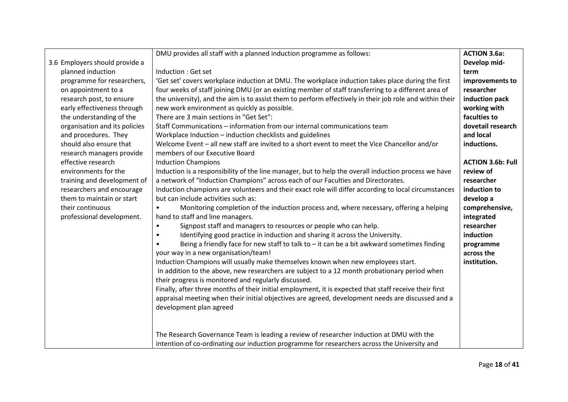|                                                 | DMU provides all staff with a planned induction programme as follows:                                                           | <b>ACTION 3.6a:</b>      |
|-------------------------------------------------|---------------------------------------------------------------------------------------------------------------------------------|--------------------------|
| 3.6 Employers should provide a                  |                                                                                                                                 | Develop mid-             |
| planned induction                               | Induction : Get set                                                                                                             | term                     |
| programme for researchers,                      | 'Get set' covers workplace induction at DMU. The workplace induction takes place during the first                               | improvements to          |
| on appointment to a                             | four weeks of staff joining DMU (or an existing member of staff transferring to a different area of                             | researcher               |
| research post, to ensure                        | the university), and the aim is to assist them to perform effectively in their job role and within their                        | induction pack           |
| early effectiveness through                     | new work environment as quickly as possible.                                                                                    | working with             |
| the understanding of the                        | There are 3 main sections in "Get Set":                                                                                         | faculties to             |
| organisation and its policies                   | Staff Communications - information from our internal communications team                                                        | dovetail research        |
| and procedures. They                            | Workplace Induction - induction checklists and guidelines                                                                       | and local                |
| should also ensure that                         | Welcome Event - all new staff are invited to a short event to meet the Vice Chancellor and/or<br>members of our Executive Board | inductions.              |
| research managers provide<br>effective research | <b>Induction Champions</b>                                                                                                      | <b>ACTION 3.6b: Full</b> |
| environments for the                            | Induction is a responsibility of the line manager, but to help the overall induction process we have                            | review of                |
| training and development of                     | a network of "Induction Champions" across each of our Faculties and Directorates.                                               | researcher               |
| researchers and encourage                       | Induction champions are volunteers and their exact role will differ according to local circumstances                            | induction to             |
| them to maintain or start                       | but can include activities such as:                                                                                             | develop a                |
| their continuous                                | Monitoring completion of the induction process and, where necessary, offering a helping                                         | comprehensive,           |
| professional development.                       | hand to staff and line managers.                                                                                                | integrated               |
|                                                 | Signpost staff and managers to resources or people who can help.                                                                | researcher               |
|                                                 | Identifying good practice in induction and sharing it across the University.<br>$\bullet$                                       | induction                |
|                                                 | Being a friendly face for new staff to talk to - it can be a bit awkward sometimes finding                                      | programme                |
|                                                 | your way in a new organisation/team!                                                                                            | across the               |
|                                                 | Induction Champions will usually make themselves known when new employees start.                                                | institution.             |
|                                                 | In addition to the above, new researchers are subject to a 12 month probationary period when                                    |                          |
|                                                 | their progress is monitored and regularly discussed.                                                                            |                          |
|                                                 | Finally, after three months of their initial employment, it is expected that staff receive their first                          |                          |
|                                                 | appraisal meeting when their initial objectives are agreed, development needs are discussed and a                               |                          |
|                                                 | development plan agreed                                                                                                         |                          |
|                                                 |                                                                                                                                 |                          |
|                                                 |                                                                                                                                 |                          |
|                                                 | The Research Governance Team is leading a review of researcher induction at DMU with the                                        |                          |
|                                                 | intention of co-ordinating our induction programme for researchers across the University and                                    |                          |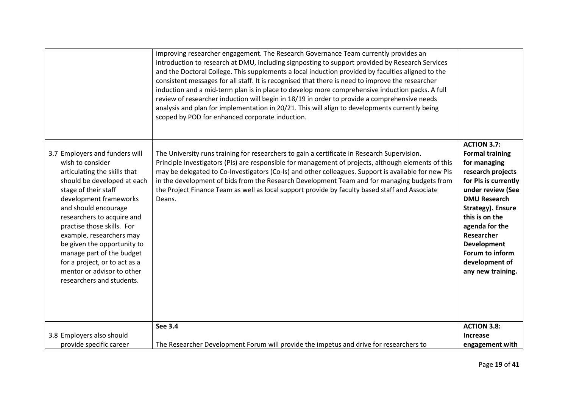|                                                                                                                                                                                                                                                                                                                                                                                                                                             | improving researcher engagement. The Research Governance Team currently provides an<br>introduction to research at DMU, including signposting to support provided by Research Services<br>and the Doctoral College. This supplements a local induction provided by faculties aligned to the<br>consistent messages for all staff. It is recognised that there is need to improve the researcher<br>induction and a mid-term plan is in place to develop more comprehensive induction packs. A full<br>review of researcher induction will begin in 18/19 in order to provide a comprehensive needs<br>analysis and plan for implementation in 20/21. This will align to developments currently being<br>scoped by POD for enhanced corporate induction. |                                                                                                                                                                                                                                                                                                                     |
|---------------------------------------------------------------------------------------------------------------------------------------------------------------------------------------------------------------------------------------------------------------------------------------------------------------------------------------------------------------------------------------------------------------------------------------------|---------------------------------------------------------------------------------------------------------------------------------------------------------------------------------------------------------------------------------------------------------------------------------------------------------------------------------------------------------------------------------------------------------------------------------------------------------------------------------------------------------------------------------------------------------------------------------------------------------------------------------------------------------------------------------------------------------------------------------------------------------|---------------------------------------------------------------------------------------------------------------------------------------------------------------------------------------------------------------------------------------------------------------------------------------------------------------------|
| 3.7 Employers and funders will<br>wish to consider<br>articulating the skills that<br>should be developed at each<br>stage of their staff<br>development frameworks<br>and should encourage<br>researchers to acquire and<br>practise those skills. For<br>example, researchers may<br>be given the opportunity to<br>manage part of the budget<br>for a project, or to act as a<br>mentor or advisor to other<br>researchers and students. | The University runs training for researchers to gain a certificate in Research Supervision.<br>Principle Investigators (PIs) are responsible for management of projects, although elements of this<br>may be delegated to Co-Investigators (Co-Is) and other colleagues. Support is available for new PIs<br>in the development of bids from the Research Development Team and for managing budgets from<br>the Project Finance Team as well as local support provide by faculty based staff and Associate<br>Deans.                                                                                                                                                                                                                                    | <b>ACTION 3.7:</b><br><b>Formal training</b><br>for managing<br>research projects<br>for PIs is currently<br>under review (See<br><b>DMU Research</b><br>Strategy). Ensure<br>this is on the<br>agenda for the<br><b>Researcher</b><br><b>Development</b><br>Forum to inform<br>development of<br>any new training. |
|                                                                                                                                                                                                                                                                                                                                                                                                                                             | <b>See 3.4</b>                                                                                                                                                                                                                                                                                                                                                                                                                                                                                                                                                                                                                                                                                                                                          | <b>ACTION 3.8:</b>                                                                                                                                                                                                                                                                                                  |
| 3.8 Employers also should                                                                                                                                                                                                                                                                                                                                                                                                                   |                                                                                                                                                                                                                                                                                                                                                                                                                                                                                                                                                                                                                                                                                                                                                         | <b>Increase</b>                                                                                                                                                                                                                                                                                                     |
| provide specific career                                                                                                                                                                                                                                                                                                                                                                                                                     | The Researcher Development Forum will provide the impetus and drive for researchers to                                                                                                                                                                                                                                                                                                                                                                                                                                                                                                                                                                                                                                                                  | engagement with                                                                                                                                                                                                                                                                                                     |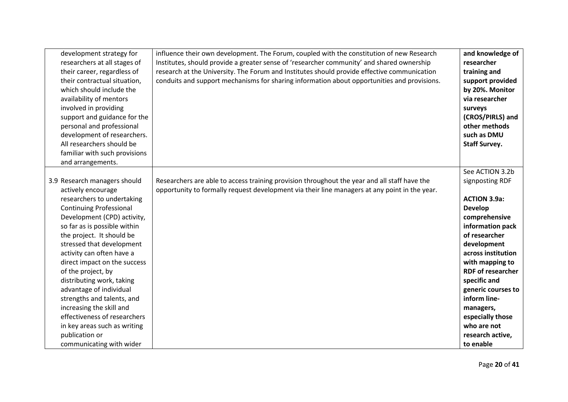| development strategy for<br>researchers at all stages of<br>their career, regardless of<br>their contractual situation,<br>which should include the<br>availability of mentors<br>involved in providing<br>support and guidance for the<br>personal and professional<br>development of researchers.<br>All researchers should be<br>familiar with such provisions<br>and arrangements.                                                                                                                                                                         | influence their own development. The Forum, coupled with the constitution of new Research<br>Institutes, should provide a greater sense of 'researcher community' and shared ownership<br>research at the University. The Forum and Institutes should provide effective communication<br>conduits and support mechanisms for sharing information about opportunities and provisions. | and knowledge of<br>researcher<br>training and<br>support provided<br>by 20%. Monitor<br>via researcher<br>surveys<br>(CROS/PIRLS) and<br>other methods<br>such as DMU<br><b>Staff Survey.</b>                                                                                                                                                               |
|----------------------------------------------------------------------------------------------------------------------------------------------------------------------------------------------------------------------------------------------------------------------------------------------------------------------------------------------------------------------------------------------------------------------------------------------------------------------------------------------------------------------------------------------------------------|--------------------------------------------------------------------------------------------------------------------------------------------------------------------------------------------------------------------------------------------------------------------------------------------------------------------------------------------------------------------------------------|--------------------------------------------------------------------------------------------------------------------------------------------------------------------------------------------------------------------------------------------------------------------------------------------------------------------------------------------------------------|
| 3.9 Research managers should<br>actively encourage<br>researchers to undertaking<br><b>Continuing Professional</b><br>Development (CPD) activity,<br>so far as is possible within<br>the project. It should be<br>stressed that development<br>activity can often have a<br>direct impact on the success<br>of the project, by<br>distributing work, taking<br>advantage of individual<br>strengths and talents, and<br>increasing the skill and<br>effectiveness of researchers<br>in key areas such as writing<br>publication or<br>communicating with wider | Researchers are able to access training provision throughout the year and all staff have the<br>opportunity to formally request development via their line managers at any point in the year.                                                                                                                                                                                        | See ACTION 3.2b<br>signposting RDF<br><b>ACTION 3.9a:</b><br><b>Develop</b><br>comprehensive<br>information pack<br>of researcher<br>development<br>across institution<br>with mapping to<br><b>RDF of researcher</b><br>specific and<br>generic courses to<br>inform line-<br>managers,<br>especially those<br>who are not<br>research active,<br>to enable |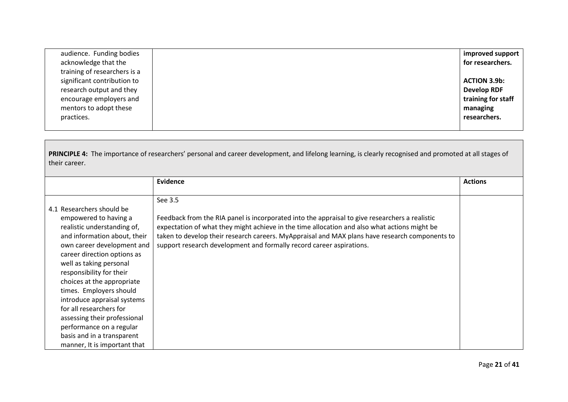| audience. Funding bodies     | improved support    |
|------------------------------|---------------------|
| acknowledge that the         | for researchers.    |
| training of researchers is a |                     |
| significant contribution to  | <b>ACTION 3.9b:</b> |
| research output and they     | <b>Develop RDF</b>  |
| encourage employers and      | training for staff  |
| mentors to adopt these       | managing            |
| practices.                   | researchers.        |
|                              |                     |

PRINCIPLE 4: The importance of researchers' personal and career development, and lifelong learning, is clearly recognised and promoted at all stages of their career.

|                              | <b>Evidence</b>                                                                                | <b>Actions</b> |
|------------------------------|------------------------------------------------------------------------------------------------|----------------|
|                              |                                                                                                |                |
|                              |                                                                                                |                |
|                              | See 3.5                                                                                        |                |
| 4.1 Researchers should be    |                                                                                                |                |
| empowered to having a        | Feedback from the RIA panel is incorporated into the appraisal to give researchers a realistic |                |
| realistic understanding of,  | expectation of what they might achieve in the time allocation and also what actions might be   |                |
| and information about, their | taken to develop their research careers. MyAppraisal and MAX plans have research components to |                |
| own career development and   | support research development and formally record career aspirations.                           |                |
| career direction options as  |                                                                                                |                |
| well as taking personal      |                                                                                                |                |
| responsibility for their     |                                                                                                |                |
| choices at the appropriate   |                                                                                                |                |
| times. Employers should      |                                                                                                |                |
| introduce appraisal systems  |                                                                                                |                |
| for all researchers for      |                                                                                                |                |
| assessing their professional |                                                                                                |                |
| performance on a regular     |                                                                                                |                |
| basis and in a transparent   |                                                                                                |                |
| manner, It is important that |                                                                                                |                |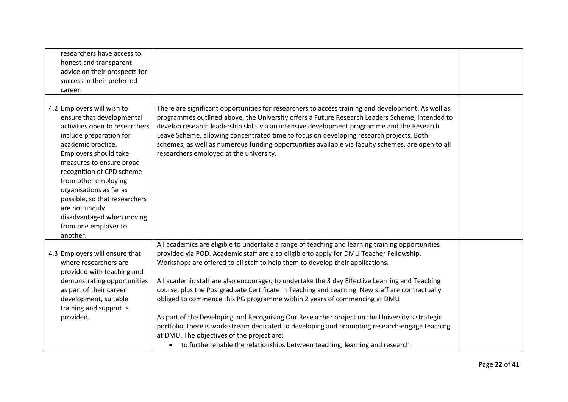| researchers have access to<br>honest and transparent<br>advice on their prospects for<br>success in their preferred<br>career.                                                                                                                                                                                                                                                                      |                                                                                                                                                                                                                                                                                                                                                                                                                                                                                                                                                                                                                                                                                                                                                                                                                                                                                                 |  |
|-----------------------------------------------------------------------------------------------------------------------------------------------------------------------------------------------------------------------------------------------------------------------------------------------------------------------------------------------------------------------------------------------------|-------------------------------------------------------------------------------------------------------------------------------------------------------------------------------------------------------------------------------------------------------------------------------------------------------------------------------------------------------------------------------------------------------------------------------------------------------------------------------------------------------------------------------------------------------------------------------------------------------------------------------------------------------------------------------------------------------------------------------------------------------------------------------------------------------------------------------------------------------------------------------------------------|--|
| 4.2 Employers will wish to<br>ensure that developmental<br>activities open to researchers<br>include preparation for<br>academic practice.<br>Employers should take<br>measures to ensure broad<br>recognition of CPD scheme<br>from other employing<br>organisations as far as<br>possible, so that researchers<br>are not unduly<br>disadvantaged when moving<br>from one employer to<br>another. | There are significant opportunities for researchers to access training and development. As well as<br>programmes outlined above, the University offers a Future Research Leaders Scheme, intended to<br>develop research leadership skills via an intensive development programme and the Research<br>Leave Scheme, allowing concentrated time to focus on developing research projects. Both<br>schemes, as well as numerous funding opportunities available via faculty schemes, are open to all<br>researchers employed at the university.                                                                                                                                                                                                                                                                                                                                                   |  |
| 4.3 Employers will ensure that<br>where researchers are<br>provided with teaching and<br>demonstrating opportunities<br>as part of their career<br>development, suitable<br>training and support is<br>provided.                                                                                                                                                                                    | All academics are eligible to undertake a range of teaching and learning training opportunities<br>provided via POD. Academic staff are also eligible to apply for DMU Teacher Fellowship.<br>Workshops are offered to all staff to help them to develop their applications.<br>All academic staff are also encouraged to undertake the 3 day Effective Learning and Teaching<br>course, plus the Postgraduate Certificate in Teaching and Learning New staff are contractually<br>obliged to commence this PG programme within 2 years of commencing at DMU<br>As part of the Developing and Recognising Our Researcher project on the University's strategic<br>portfolio, there is work-stream dedicated to developing and promoting research-engage teaching<br>at DMU. The objectives of the project are;<br>• to further enable the relationships between teaching, learning and research |  |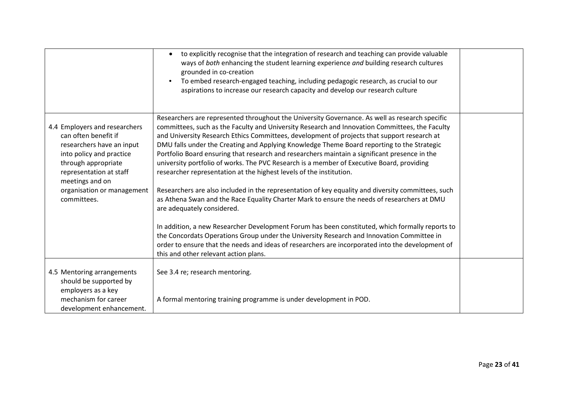|                                                                                                                                                                                                                                  | to explicitly recognise that the integration of research and teaching can provide valuable<br>ways of both enhancing the student learning experience and building research cultures<br>grounded in co-creation<br>To embed research-engaged teaching, including pedagogic research, as crucial to our<br>aspirations to increase our research capacity and develop our research culture                                                                                                                                                                                                                                                                                                                                                                                                                                                                                                                                                                                                                                                                                                                                                                                                                                                            |  |
|----------------------------------------------------------------------------------------------------------------------------------------------------------------------------------------------------------------------------------|----------------------------------------------------------------------------------------------------------------------------------------------------------------------------------------------------------------------------------------------------------------------------------------------------------------------------------------------------------------------------------------------------------------------------------------------------------------------------------------------------------------------------------------------------------------------------------------------------------------------------------------------------------------------------------------------------------------------------------------------------------------------------------------------------------------------------------------------------------------------------------------------------------------------------------------------------------------------------------------------------------------------------------------------------------------------------------------------------------------------------------------------------------------------------------------------------------------------------------------------------|--|
| 4.4 Employers and researchers<br>can often benefit if<br>researchers have an input<br>into policy and practice<br>through appropriate<br>representation at staff<br>meetings and on<br>organisation or management<br>committees. | Researchers are represented throughout the University Governance. As well as research specific<br>committees, such as the Faculty and University Research and Innovation Committees, the Faculty<br>and University Research Ethics Committees, development of projects that support research at<br>DMU falls under the Creating and Applying Knowledge Theme Board reporting to the Strategic<br>Portfolio Board ensuring that research and researchers maintain a significant presence in the<br>university portfolio of works. The PVC Research is a member of Executive Board, providing<br>researcher representation at the highest levels of the institution.<br>Researchers are also included in the representation of key equality and diversity committees, such<br>as Athena Swan and the Race Equality Charter Mark to ensure the needs of researchers at DMU<br>are adequately considered.<br>In addition, a new Researcher Development Forum has been constituted, which formally reports to<br>the Concordats Operations Group under the University Research and Innovation Committee in<br>order to ensure that the needs and ideas of researchers are incorporated into the development of<br>this and other relevant action plans. |  |
| 4.5 Mentoring arrangements<br>should be supported by<br>employers as a key<br>mechanism for career<br>development enhancement.                                                                                                   | See 3.4 re; research mentoring.<br>A formal mentoring training programme is under development in POD.                                                                                                                                                                                                                                                                                                                                                                                                                                                                                                                                                                                                                                                                                                                                                                                                                                                                                                                                                                                                                                                                                                                                              |  |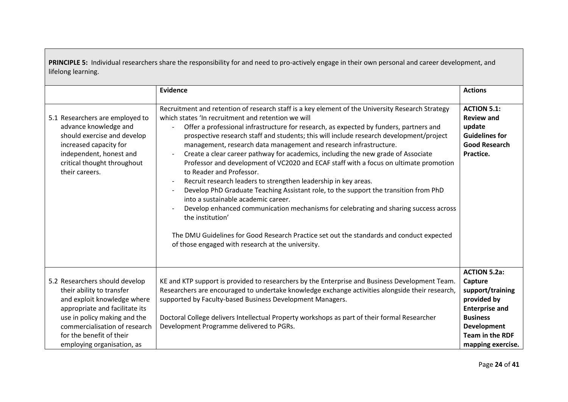**PRINCIPLE 5:** Individual researchers share the responsibility for and need to pro-actively engage in their own personal and career development, and lifelong learning.

|                                                                                                                                                                                                                                                         | Evidence                                                                                                                                                                                                                                                                                                                                                                                                                                                                                                                                                                                                                                                                                                                                                                                                                                                                                                                                                                                                                                                                                  | <b>Actions</b>                                                                                                                                                                     |
|---------------------------------------------------------------------------------------------------------------------------------------------------------------------------------------------------------------------------------------------------------|-------------------------------------------------------------------------------------------------------------------------------------------------------------------------------------------------------------------------------------------------------------------------------------------------------------------------------------------------------------------------------------------------------------------------------------------------------------------------------------------------------------------------------------------------------------------------------------------------------------------------------------------------------------------------------------------------------------------------------------------------------------------------------------------------------------------------------------------------------------------------------------------------------------------------------------------------------------------------------------------------------------------------------------------------------------------------------------------|------------------------------------------------------------------------------------------------------------------------------------------------------------------------------------|
| 5.1 Researchers are employed to<br>advance knowledge and<br>should exercise and develop<br>increased capacity for<br>independent, honest and<br>critical thought throughout<br>their careers.                                                           | Recruitment and retention of research staff is a key element of the University Research Strategy<br>which states 'In recruitment and retention we will<br>Offer a professional infrastructure for research, as expected by funders, partners and<br>prospective research staff and students; this will include research development/project<br>management, research data management and research infrastructure.<br>Create a clear career pathway for academics, including the new grade of Associate<br>Professor and development of VC2020 and ECAF staff with a focus on ultimate promotion<br>to Reader and Professor.<br>Recruit research leaders to strengthen leadership in key areas.<br>Develop PhD Graduate Teaching Assistant role, to the support the transition from PhD<br>into a sustainable academic career.<br>Develop enhanced communication mechanisms for celebrating and sharing success across<br>the institution'<br>The DMU Guidelines for Good Research Practice set out the standards and conduct expected<br>of those engaged with research at the university. | <b>ACTION 5.1:</b><br><b>Review and</b><br>update<br><b>Guidelines for</b><br><b>Good Research</b><br>Practice.                                                                    |
| 5.2 Researchers should develop<br>their ability to transfer<br>and exploit knowledge where<br>appropriate and facilitate its<br>use in policy making and the<br>commercialisation of research<br>for the benefit of their<br>employing organisation, as | KE and KTP support is provided to researchers by the Enterprise and Business Development Team.<br>Researchers are encouraged to undertake knowledge exchange activities alongside their research,<br>supported by Faculty-based Business Development Managers.<br>Doctoral College delivers Intellectual Property workshops as part of their formal Researcher<br>Development Programme delivered to PGRs.                                                                                                                                                                                                                                                                                                                                                                                                                                                                                                                                                                                                                                                                                | <b>ACTION 5.2a:</b><br>Capture<br>support/training<br>provided by<br><b>Enterprise and</b><br><b>Business</b><br><b>Development</b><br><b>Team in the RDF</b><br>mapping exercise. |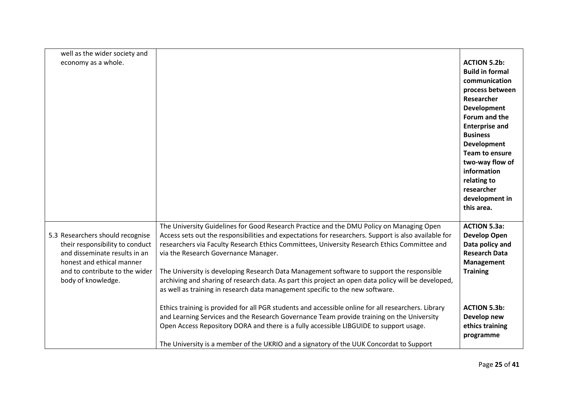| well as the wider society and                                                                                                                                                             |                                                                                                                                                                                                                                                                                                                                                                                                                                                                                                                                                                                                                               |                                                                                                                                                                                                                                                                                                                                  |
|-------------------------------------------------------------------------------------------------------------------------------------------------------------------------------------------|-------------------------------------------------------------------------------------------------------------------------------------------------------------------------------------------------------------------------------------------------------------------------------------------------------------------------------------------------------------------------------------------------------------------------------------------------------------------------------------------------------------------------------------------------------------------------------------------------------------------------------|----------------------------------------------------------------------------------------------------------------------------------------------------------------------------------------------------------------------------------------------------------------------------------------------------------------------------------|
| economy as a whole.                                                                                                                                                                       |                                                                                                                                                                                                                                                                                                                                                                                                                                                                                                                                                                                                                               | <b>ACTION 5.2b:</b><br><b>Build in formal</b><br>communication<br>process between<br>Researcher<br><b>Development</b><br>Forum and the<br><b>Enterprise and</b><br><b>Business</b><br><b>Development</b><br><b>Team to ensure</b><br>two-way flow of<br>information<br>relating to<br>researcher<br>development in<br>this area. |
| 5.3 Researchers should recognise<br>their responsibility to conduct<br>and disseminate results in an<br>honest and ethical manner<br>and to contribute to the wider<br>body of knowledge. | The University Guidelines for Good Research Practice and the DMU Policy on Managing Open<br>Access sets out the responsibilities and expectations for researchers. Support is also available for<br>researchers via Faculty Research Ethics Committees, University Research Ethics Committee and<br>via the Research Governance Manager.<br>The University is developing Research Data Management software to support the responsible<br>archiving and sharing of research data. As part this project an open data policy will be developed,<br>as well as training in research data management specific to the new software. | <b>ACTION 5.3a:</b><br><b>Develop Open</b><br>Data policy and<br><b>Research Data</b><br><b>Management</b><br><b>Training</b>                                                                                                                                                                                                    |
|                                                                                                                                                                                           | Ethics training is provided for all PGR students and accessible online for all researchers. Library<br>and Learning Services and the Research Governance Team provide training on the University<br>Open Access Repository DORA and there is a fully accessible LIBGUIDE to support usage.<br>The University is a member of the UKRIO and a signatory of the UUK Concordat to Support                                                                                                                                                                                                                                         | <b>ACTION 5.3b:</b><br>Develop new<br>ethics training<br>programme                                                                                                                                                                                                                                                               |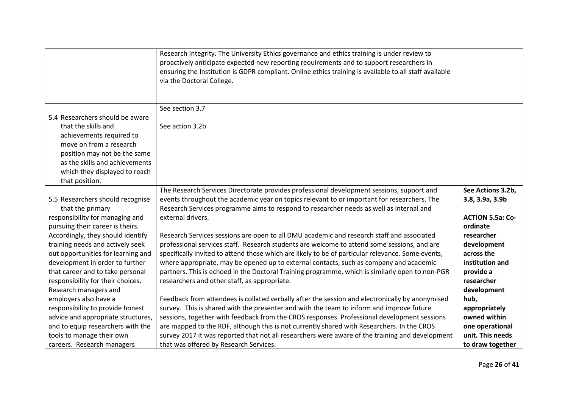|                                                                     | Research Integrity. The University Ethics governance and ethics training is under review to<br>proactively anticipate expected new reporting requirements and to support researchers in<br>ensuring the Institution is GDPR compliant. Online ethics training is available to all staff available<br>via the Doctoral College. |                              |
|---------------------------------------------------------------------|--------------------------------------------------------------------------------------------------------------------------------------------------------------------------------------------------------------------------------------------------------------------------------------------------------------------------------|------------------------------|
|                                                                     |                                                                                                                                                                                                                                                                                                                                |                              |
| 5.4 Researchers should be aware                                     | See section 3.7                                                                                                                                                                                                                                                                                                                |                              |
| that the skills and                                                 | See action 3.2b                                                                                                                                                                                                                                                                                                                |                              |
| achievements required to                                            |                                                                                                                                                                                                                                                                                                                                |                              |
| move on from a research                                             |                                                                                                                                                                                                                                                                                                                                |                              |
| position may not be the same                                        |                                                                                                                                                                                                                                                                                                                                |                              |
| as the skills and achievements                                      |                                                                                                                                                                                                                                                                                                                                |                              |
| which they displayed to reach<br>that position.                     |                                                                                                                                                                                                                                                                                                                                |                              |
|                                                                     | The Research Services Directorate provides professional development sessions, support and                                                                                                                                                                                                                                      | See Actions 3.2b,            |
| 5.5 Researchers should recognise<br>that the primary                | events throughout the academic year on topics relevant to or important for researchers. The<br>Research Services programme aims to respond to researcher needs as well as internal and                                                                                                                                         | 3.8, 3.9a, 3.9b              |
| responsibility for managing and                                     | external drivers.                                                                                                                                                                                                                                                                                                              | <b>ACTION 5.5a: Co-</b>      |
| pursuing their career is theirs.                                    |                                                                                                                                                                                                                                                                                                                                | ordinate                     |
| Accordingly, they should identify                                   | Research Services sessions are open to all DMU academic and research staff and associated                                                                                                                                                                                                                                      | researcher                   |
| training needs and actively seek                                    | professional services staff. Research students are welcome to attend some sessions, and are                                                                                                                                                                                                                                    | development                  |
| out opportunities for learning and                                  | specifically invited to attend those which are likely to be of particular relevance. Some events,                                                                                                                                                                                                                              | across the                   |
| development in order to further<br>that career and to take personal | where appropriate, may be opened up to external contacts, such as company and academic<br>partners. This is echoed in the Doctoral Training programme, which is similarly open to non-PGR                                                                                                                                      | institution and<br>provide a |
| responsibility for their choices.                                   | researchers and other staff, as appropriate.                                                                                                                                                                                                                                                                                   | researcher                   |
| Research managers and                                               |                                                                                                                                                                                                                                                                                                                                | development                  |
| employers also have a                                               | Feedback from attendees is collated verbally after the session and electronically by anonymised                                                                                                                                                                                                                                | hub,                         |
| responsibility to provide honest                                    | survey. This is shared with the presenter and with the team to inform and improve future                                                                                                                                                                                                                                       | appropriately                |
| advice and appropriate structures,                                  | sessions, together with feedback from the CROS responses. Professional development sessions                                                                                                                                                                                                                                    | owned within                 |
| and to equip researchers with the                                   | are mapped to the RDF, although this is not currently shared with Researchers. In the CROS                                                                                                                                                                                                                                     | one operational              |
| tools to manage their own                                           | survey 2017 it was reported that not all researchers were aware of the training and development                                                                                                                                                                                                                                | unit. This needs             |
| careers. Research managers                                          | that was offered by Research Services.                                                                                                                                                                                                                                                                                         | to draw together             |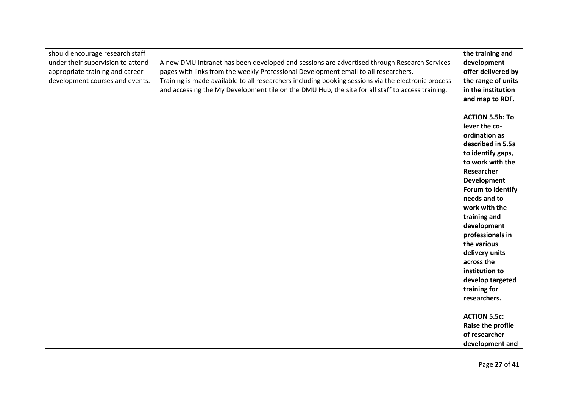| should encourage research staff   |                                                                                                     | the training and       |
|-----------------------------------|-----------------------------------------------------------------------------------------------------|------------------------|
| under their supervision to attend | A new DMU Intranet has been developed and sessions are advertised through Research Services         | development            |
| appropriate training and career   | pages with links from the weekly Professional Development email to all researchers.                 | offer delivered by     |
| development courses and events.   | Training is made available to all researchers including booking sessions via the electronic process | the range of units     |
|                                   | and accessing the My Development tile on the DMU Hub, the site for all staff to access training.    | in the institution     |
|                                   |                                                                                                     | and map to RDF.        |
|                                   |                                                                                                     |                        |
|                                   |                                                                                                     | <b>ACTION 5.5b: To</b> |
|                                   |                                                                                                     | lever the co-          |
|                                   |                                                                                                     | ordination as          |
|                                   |                                                                                                     | described in 5.5a      |
|                                   |                                                                                                     | to identify gaps,      |
|                                   |                                                                                                     | to work with the       |
|                                   |                                                                                                     | Researcher             |
|                                   |                                                                                                     | <b>Development</b>     |
|                                   |                                                                                                     | Forum to identify      |
|                                   |                                                                                                     | needs and to           |
|                                   |                                                                                                     | work with the          |
|                                   |                                                                                                     | training and           |
|                                   |                                                                                                     | development            |
|                                   |                                                                                                     | professionals in       |
|                                   |                                                                                                     | the various            |
|                                   |                                                                                                     | delivery units         |
|                                   |                                                                                                     | across the             |
|                                   |                                                                                                     | institution to         |
|                                   |                                                                                                     | develop targeted       |
|                                   |                                                                                                     | training for           |
|                                   |                                                                                                     | researchers.           |
|                                   |                                                                                                     |                        |
|                                   |                                                                                                     | <b>ACTION 5.5c:</b>    |
|                                   |                                                                                                     | Raise the profile      |
|                                   |                                                                                                     | of researcher          |
|                                   |                                                                                                     | development and        |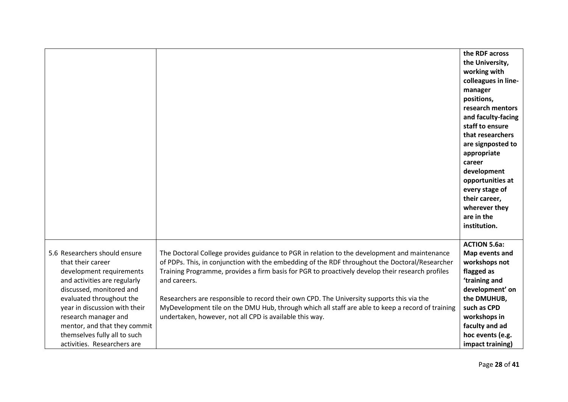|                                                                                                                                                                                                                                                                                                 |                                                                                                                                                                                                                                                                                                                                                                                                                                                                                                                                                                                | the RDF across<br>the University,<br>working with<br>colleagues in line-<br>manager<br>positions,<br>research mentors<br>and faculty-facing<br>staff to ensure<br>that researchers<br>are signposted to<br>appropriate<br>career<br>development<br>opportunities at<br>every stage of<br>their career,<br>wherever they |
|-------------------------------------------------------------------------------------------------------------------------------------------------------------------------------------------------------------------------------------------------------------------------------------------------|--------------------------------------------------------------------------------------------------------------------------------------------------------------------------------------------------------------------------------------------------------------------------------------------------------------------------------------------------------------------------------------------------------------------------------------------------------------------------------------------------------------------------------------------------------------------------------|-------------------------------------------------------------------------------------------------------------------------------------------------------------------------------------------------------------------------------------------------------------------------------------------------------------------------|
| 5.6 Researchers should ensure<br>that their career<br>development requirements<br>and activities are regularly<br>discussed, monitored and<br>evaluated throughout the<br>year in discussion with their<br>research manager and<br>mentor, and that they commit<br>themselves fully all to such | The Doctoral College provides guidance to PGR in relation to the development and maintenance<br>of PDPs. This, in conjunction with the embedding of the RDF throughout the Doctoral/Researcher<br>Training Programme, provides a firm basis for PGR to proactively develop their research profiles<br>and careers.<br>Researchers are responsible to record their own CPD. The University supports this via the<br>MyDevelopment tile on the DMU Hub, through which all staff are able to keep a record of training<br>undertaken, however, not all CPD is available this way. | institution.<br><b>ACTION 5.6a:</b><br>Map events and<br>workshops not<br>flagged as<br>'training and<br>development' on<br>the DMUHUB,<br>such as CPD<br>workshops in<br>faculty and ad<br>hoc events (e.g.                                                                                                            |
| activities. Researchers are                                                                                                                                                                                                                                                                     |                                                                                                                                                                                                                                                                                                                                                                                                                                                                                                                                                                                | impact training)                                                                                                                                                                                                                                                                                                        |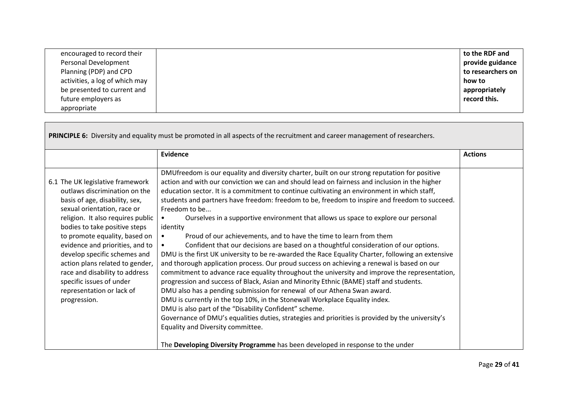| encouraged to record their     | to the RDF and    |
|--------------------------------|-------------------|
| Personal Development           | provide guidance  |
| Planning (PDP) and CPD         | to researchers on |
| activities, a log of which may | how to            |
| be presented to current and    | appropriately     |
| future employers as            | record this.      |
| appropriate                    |                   |

| PRINCIPLE 6: Diversity and equality must be promoted in all aspects of the recruitment and career management of researchers.                                                                                                                                                                                                                                                                                                                               |                                                                                                                                                                                                                                                                                                                                                                                                                                                                                                                                                                                                                                                                                                                                                                                                                                                                                                                                                                                                                                                                                                                                                                                                                                                                                                                                                                                                                                            |                |
|------------------------------------------------------------------------------------------------------------------------------------------------------------------------------------------------------------------------------------------------------------------------------------------------------------------------------------------------------------------------------------------------------------------------------------------------------------|--------------------------------------------------------------------------------------------------------------------------------------------------------------------------------------------------------------------------------------------------------------------------------------------------------------------------------------------------------------------------------------------------------------------------------------------------------------------------------------------------------------------------------------------------------------------------------------------------------------------------------------------------------------------------------------------------------------------------------------------------------------------------------------------------------------------------------------------------------------------------------------------------------------------------------------------------------------------------------------------------------------------------------------------------------------------------------------------------------------------------------------------------------------------------------------------------------------------------------------------------------------------------------------------------------------------------------------------------------------------------------------------------------------------------------------------|----------------|
|                                                                                                                                                                                                                                                                                                                                                                                                                                                            | <b>Evidence</b>                                                                                                                                                                                                                                                                                                                                                                                                                                                                                                                                                                                                                                                                                                                                                                                                                                                                                                                                                                                                                                                                                                                                                                                                                                                                                                                                                                                                                            | <b>Actions</b> |
| 6.1 The UK legislative framework<br>outlaws discrimination on the<br>basis of age, disability, sex,<br>sexual orientation, race or<br>religion. It also requires public<br>bodies to take positive steps<br>to promote equality, based on<br>evidence and priorities, and to<br>develop specific schemes and<br>action plans related to gender,<br>race and disability to address<br>specific issues of under<br>representation or lack of<br>progression. | DMUfreedom is our equality and diversity charter, built on our strong reputation for positive<br>action and with our conviction we can and should lead on fairness and inclusion in the higher<br>education sector. It is a commitment to continue cultivating an environment in which staff,<br>students and partners have freedom: freedom to be, freedom to inspire and freedom to succeed.<br>Freedom to be<br>Ourselves in a supportive environment that allows us space to explore our personal<br>identity<br>Proud of our achievements, and to have the time to learn from them<br>Confident that our decisions are based on a thoughtful consideration of our options.<br>DMU is the first UK university to be re-awarded the Race Equality Charter, following an extensive<br>and thorough application process. Our proud success on achieving a renewal is based on our<br>commitment to advance race equality throughout the university and improve the representation,<br>progression and success of Black, Asian and Minority Ethnic (BAME) staff and students.<br>DMU also has a pending submission for renewal of our Athena Swan award.<br>DMU is currently in the top 10%, in the Stonewall Workplace Equality index.<br>DMU is also part of the "Disability Confident" scheme.<br>Governance of DMU's equalities duties, strategies and priorities is provided by the university's<br>Equality and Diversity committee. |                |
|                                                                                                                                                                                                                                                                                                                                                                                                                                                            | The Developing Diversity Programme has been developed in response to the under                                                                                                                                                                                                                                                                                                                                                                                                                                                                                                                                                                                                                                                                                                                                                                                                                                                                                                                                                                                                                                                                                                                                                                                                                                                                                                                                                             |                |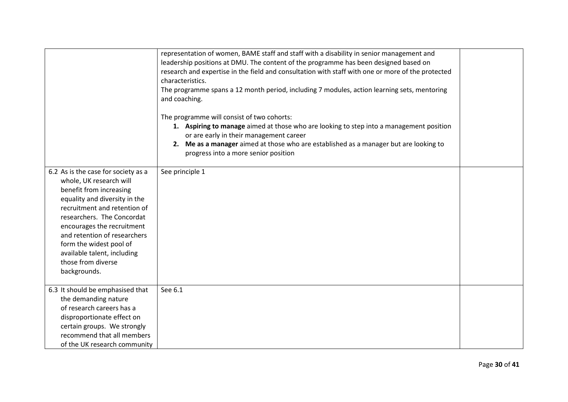|                                                                                                                                                                                                                                                                                                                                                        | representation of women, BAME staff and staff with a disability in senior management and<br>leadership positions at DMU. The content of the programme has been designed based on<br>research and expertise in the field and consultation with staff with one or more of the protected<br>characteristics.<br>The programme spans a 12 month period, including 7 modules, action learning sets, mentoring<br>and coaching. |  |
|--------------------------------------------------------------------------------------------------------------------------------------------------------------------------------------------------------------------------------------------------------------------------------------------------------------------------------------------------------|---------------------------------------------------------------------------------------------------------------------------------------------------------------------------------------------------------------------------------------------------------------------------------------------------------------------------------------------------------------------------------------------------------------------------|--|
|                                                                                                                                                                                                                                                                                                                                                        | The programme will consist of two cohorts:<br>1. Aspiring to manage aimed at those who are looking to step into a management position<br>or are early in their management career<br>2. Me as a manager aimed at those who are established as a manager but are looking to<br>progress into a more senior position                                                                                                         |  |
| 6.2 As is the case for society as a<br>whole, UK research will<br>benefit from increasing<br>equality and diversity in the<br>recruitment and retention of<br>researchers. The Concordat<br>encourages the recruitment<br>and retention of researchers<br>form the widest pool of<br>available talent, including<br>those from diverse<br>backgrounds. | See principle 1                                                                                                                                                                                                                                                                                                                                                                                                           |  |
| 6.3 It should be emphasised that<br>the demanding nature<br>of research careers has a<br>disproportionate effect on<br>certain groups. We strongly<br>recommend that all members<br>of the UK research community                                                                                                                                       | See 6.1                                                                                                                                                                                                                                                                                                                                                                                                                   |  |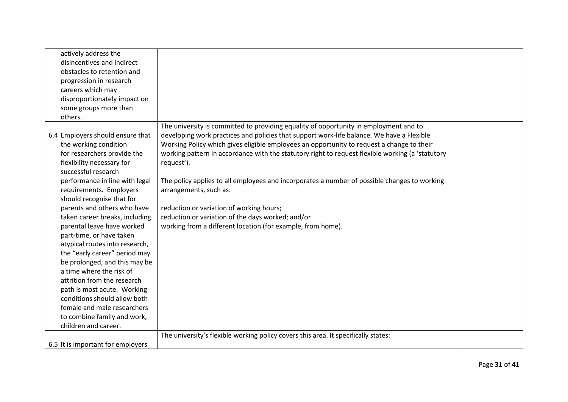| actively address the<br>disincentives and indirect<br>obstacles to retention and<br>progression in research<br>careers which may<br>disproportionately impact on<br>some groups more than<br>others.                                                                                                                                                                                                                                                                                                                                                                                                                                                                                  |                                                                                                                                                                                                                                                                                                                                                                                                                                                                                                                                                                                                                                                                                             |  |
|---------------------------------------------------------------------------------------------------------------------------------------------------------------------------------------------------------------------------------------------------------------------------------------------------------------------------------------------------------------------------------------------------------------------------------------------------------------------------------------------------------------------------------------------------------------------------------------------------------------------------------------------------------------------------------------|---------------------------------------------------------------------------------------------------------------------------------------------------------------------------------------------------------------------------------------------------------------------------------------------------------------------------------------------------------------------------------------------------------------------------------------------------------------------------------------------------------------------------------------------------------------------------------------------------------------------------------------------------------------------------------------------|--|
| 6.4 Employers should ensure that<br>the working condition<br>for researchers provide the<br>flexibility necessary for<br>successful research<br>performance in line with legal<br>requirements. Employers<br>should recognise that for<br>parents and others who have<br>taken career breaks, including<br>parental leave have worked<br>part-time, or have taken<br>atypical routes into research,<br>the "early career" period may<br>be prolonged, and this may be<br>a time where the risk of<br>attrition from the research<br>path is most acute. Working<br>conditions should allow both<br>female and male researchers<br>to combine family and work,<br>children and career. | The university is committed to providing equality of opportunity in employment and to<br>developing work practices and policies that support work-life balance. We have a Flexible<br>Working Policy which gives eligible employees an opportunity to request a change to their<br>working pattern in accordance with the statutory right to request flexible working (a 'statutory<br>request').<br>The policy applies to all employees and incorporates a number of possible changes to working<br>arrangements, such as:<br>reduction or variation of working hours;<br>reduction or variation of the days worked; and/or<br>working from a different location (for example, from home). |  |
| 6.5 It is important for employers                                                                                                                                                                                                                                                                                                                                                                                                                                                                                                                                                                                                                                                     | The university's flexible working policy covers this area. It specifically states:                                                                                                                                                                                                                                                                                                                                                                                                                                                                                                                                                                                                          |  |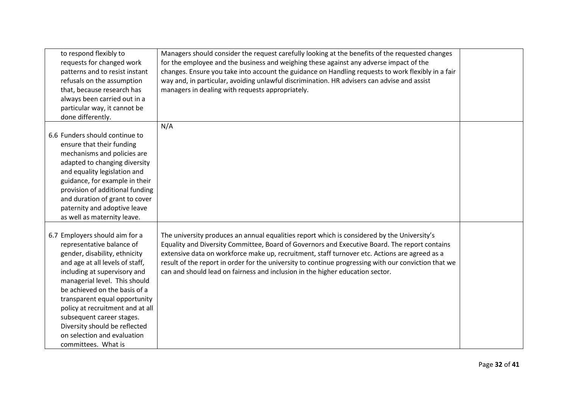| to respond flexibly to           | Managers should consider the request carefully looking at the benefits of the requested changes      |  |
|----------------------------------|------------------------------------------------------------------------------------------------------|--|
| requests for changed work        | for the employee and the business and weighing these against any adverse impact of the               |  |
| patterns and to resist instant   | changes. Ensure you take into account the guidance on Handling requests to work flexibly in a fair   |  |
| refusals on the assumption       | way and, in particular, avoiding unlawful discrimination. HR advisers can advise and assist          |  |
| that, because research has       | managers in dealing with requests appropriately.                                                     |  |
| always been carried out in a     |                                                                                                      |  |
| particular way, it cannot be     |                                                                                                      |  |
| done differently.                |                                                                                                      |  |
|                                  | N/A                                                                                                  |  |
| 6.6 Funders should continue to   |                                                                                                      |  |
| ensure that their funding        |                                                                                                      |  |
| mechanisms and policies are      |                                                                                                      |  |
| adapted to changing diversity    |                                                                                                      |  |
| and equality legislation and     |                                                                                                      |  |
| guidance, for example in their   |                                                                                                      |  |
| provision of additional funding  |                                                                                                      |  |
| and duration of grant to cover   |                                                                                                      |  |
| paternity and adoptive leave     |                                                                                                      |  |
| as well as maternity leave.      |                                                                                                      |  |
|                                  |                                                                                                      |  |
| 6.7 Employers should aim for a   | The university produces an annual equalities report which is considered by the University's          |  |
| representative balance of        | Equality and Diversity Committee, Board of Governors and Executive Board. The report contains        |  |
| gender, disability, ethnicity    | extensive data on workforce make up, recruitment, staff turnover etc. Actions are agreed as a        |  |
| and age at all levels of staff,  | result of the report in order for the university to continue progressing with our conviction that we |  |
| including at supervisory and     | can and should lead on fairness and inclusion in the higher education sector.                        |  |
| managerial level. This should    |                                                                                                      |  |
| be achieved on the basis of a    |                                                                                                      |  |
| transparent equal opportunity    |                                                                                                      |  |
| policy at recruitment and at all |                                                                                                      |  |
| subsequent career stages.        |                                                                                                      |  |
| Diversity should be reflected    |                                                                                                      |  |
| on selection and evaluation      |                                                                                                      |  |
| committees. What is              |                                                                                                      |  |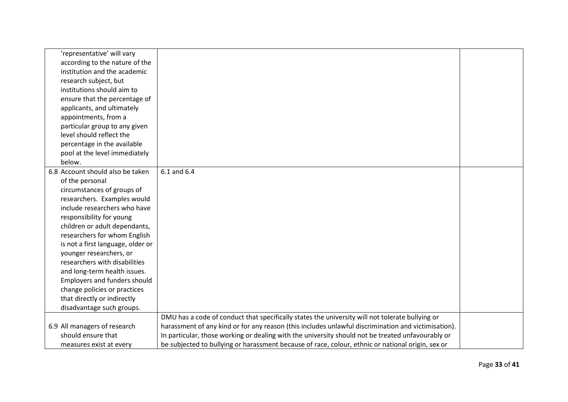| 'representative' will vary          |                                                                                                     |  |
|-------------------------------------|-----------------------------------------------------------------------------------------------------|--|
| according to the nature of the      |                                                                                                     |  |
| institution and the academic        |                                                                                                     |  |
| research subject, but               |                                                                                                     |  |
| institutions should aim to          |                                                                                                     |  |
| ensure that the percentage of       |                                                                                                     |  |
| applicants, and ultimately          |                                                                                                     |  |
| appointments, from a                |                                                                                                     |  |
| particular group to any given       |                                                                                                     |  |
| level should reflect the            |                                                                                                     |  |
| percentage in the available         |                                                                                                     |  |
| pool at the level immediately       |                                                                                                     |  |
| below.                              |                                                                                                     |  |
| 6.8 Account should also be taken    | 6.1 and 6.4                                                                                         |  |
| of the personal                     |                                                                                                     |  |
| circumstances of groups of          |                                                                                                     |  |
| researchers. Examples would         |                                                                                                     |  |
| include researchers who have        |                                                                                                     |  |
| responsibility for young            |                                                                                                     |  |
| children or adult dependants,       |                                                                                                     |  |
| researchers for whom English        |                                                                                                     |  |
| is not a first language, older or   |                                                                                                     |  |
| younger researchers, or             |                                                                                                     |  |
| researchers with disabilities       |                                                                                                     |  |
| and long-term health issues.        |                                                                                                     |  |
| <b>Employers and funders should</b> |                                                                                                     |  |
| change policies or practices        |                                                                                                     |  |
| that directly or indirectly         |                                                                                                     |  |
| disadvantage such groups.           |                                                                                                     |  |
|                                     | DMU has a code of conduct that specifically states the university will not tolerate bullying or     |  |
| 6.9 All managers of research        | harassment of any kind or for any reason (this includes unlawful discrimination and victimisation). |  |
| should ensure that                  | In particular, those working or dealing with the university should not be treated unfavourably or   |  |
| measures exist at every             | be subjected to bullying or harassment because of race, colour, ethnic or national origin, sex or   |  |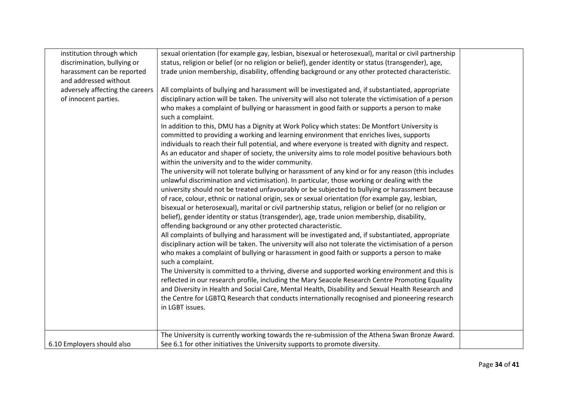| institution through which       | sexual orientation (for example gay, lesbian, bisexual or heterosexual), marital or civil partnership  |  |
|---------------------------------|--------------------------------------------------------------------------------------------------------|--|
| discrimination, bullying or     | status, religion or belief (or no religion or belief), gender identity or status (transgender), age,   |  |
| harassment can be reported      | trade union membership, disability, offending background or any other protected characteristic.        |  |
| and addressed without           |                                                                                                        |  |
| adversely affecting the careers | All complaints of bullying and harassment will be investigated and, if substantiated, appropriate      |  |
| of innocent parties.            | disciplinary action will be taken. The university will also not tolerate the victimisation of a person |  |
|                                 | who makes a complaint of bullying or harassment in good faith or supports a person to make             |  |
|                                 | such a complaint.                                                                                      |  |
|                                 | In addition to this, DMU has a Dignity at Work Policy which states: De Montfort University is          |  |
|                                 | committed to providing a working and learning environment that enriches lives, supports                |  |
|                                 | individuals to reach their full potential, and where everyone is treated with dignity and respect.     |  |
|                                 | As an educator and shaper of society, the university aims to role model positive behaviours both       |  |
|                                 | within the university and to the wider community.                                                      |  |
|                                 | The university will not tolerate bullying or harassment of any kind or for any reason (this includes   |  |
|                                 | unlawful discrimination and victimisation). In particular, those working or dealing with the           |  |
|                                 | university should not be treated unfavourably or be subjected to bullying or harassment because        |  |
|                                 | of race, colour, ethnic or national origin, sex or sexual orientation (for example gay, lesbian,       |  |
|                                 | bisexual or heterosexual), marital or civil partnership status, religion or belief (or no religion or  |  |
|                                 | belief), gender identity or status (transgender), age, trade union membership, disability,             |  |
|                                 | offending background or any other protected characteristic.                                            |  |
|                                 | All complaints of bullying and harassment will be investigated and, if substantiated, appropriate      |  |
|                                 | disciplinary action will be taken. The university will also not tolerate the victimisation of a person |  |
|                                 | who makes a complaint of bullying or harassment in good faith or supports a person to make             |  |
|                                 | such a complaint.                                                                                      |  |
|                                 | The University is committed to a thriving, diverse and supported working environment and this is       |  |
|                                 | reflected in our research profile, including the Mary Seacole Research Centre Promoting Equality       |  |
|                                 | and Diversity in Health and Social Care, Mental Health, Disability and Sexual Health Research and      |  |
|                                 | the Centre for LGBTQ Research that conducts internationally recognised and pioneering research         |  |
|                                 | in LGBT issues.                                                                                        |  |
|                                 |                                                                                                        |  |
|                                 |                                                                                                        |  |
|                                 | The University is currently working towards the re-submission of the Athena Swan Bronze Award.         |  |
| 6.10 Employers should also      | See 6.1 for other initiatives the University supports to promote diversity.                            |  |
|                                 |                                                                                                        |  |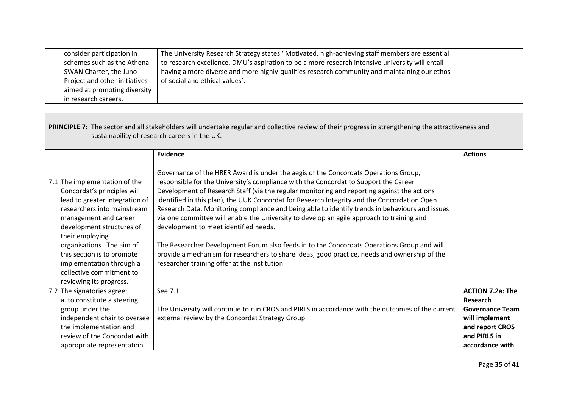| consider participation in     | The University Research Strategy states ' Motivated, high-achieving staff members are essential |  |
|-------------------------------|-------------------------------------------------------------------------------------------------|--|
| schemes such as the Athena    | to research excellence. DMU's aspiration to be a more research intensive university will entail |  |
| SWAN Charter, the Juno        | having a more diverse and more highly-qualifies research community and maintaining our ethos    |  |
| Project and other initiatives | of social and ethical values'.                                                                  |  |
| aimed at promoting diversity  |                                                                                                 |  |
| in research careers.          |                                                                                                 |  |

| PRINCIPLE 7: The sector and all stakeholders will undertake regular and collective review of their progress in strengthening the attractiveness and<br>sustainability of research careers in the UK.                                                                                                                                                 |                                                                                                                                                                                                                                                                                                                                                                                                                                                                                                                                                                                                                                                                                                                                                                                                                                                                     |                                                                                                    |
|------------------------------------------------------------------------------------------------------------------------------------------------------------------------------------------------------------------------------------------------------------------------------------------------------------------------------------------------------|---------------------------------------------------------------------------------------------------------------------------------------------------------------------------------------------------------------------------------------------------------------------------------------------------------------------------------------------------------------------------------------------------------------------------------------------------------------------------------------------------------------------------------------------------------------------------------------------------------------------------------------------------------------------------------------------------------------------------------------------------------------------------------------------------------------------------------------------------------------------|----------------------------------------------------------------------------------------------------|
|                                                                                                                                                                                                                                                                                                                                                      | <b>Evidence</b>                                                                                                                                                                                                                                                                                                                                                                                                                                                                                                                                                                                                                                                                                                                                                                                                                                                     | <b>Actions</b>                                                                                     |
| 7.1 The implementation of the<br>Concordat's principles will<br>lead to greater integration of<br>researchers into mainstream<br>management and career<br>development structures of<br>their employing<br>organisations. The aim of<br>this section is to promote<br>implementation through a<br>collective commitment to<br>reviewing its progress. | Governance of the HRER Award is under the aegis of the Concordats Operations Group,<br>responsible for the University's compliance with the Concordat to Support the Career<br>Development of Research Staff (via the regular monitoring and reporting against the actions<br>identified in this plan), the UUK Concordat for Research Integrity and the Concordat on Open<br>Research Data. Monitoring compliance and being able to identify trends in behaviours and issues<br>via one committee will enable the University to develop an agile approach to training and<br>development to meet identified needs.<br>The Researcher Development Forum also feeds in to the Concordats Operations Group and will<br>provide a mechanism for researchers to share ideas, good practice, needs and ownership of the<br>researcher training offer at the institution. |                                                                                                    |
| 7.2 The signatories agree:<br>a. to constitute a steering<br>group under the<br>independent chair to oversee<br>the implementation and                                                                                                                                                                                                               | See 7.1<br>The University will continue to run CROS and PIRLS in accordance with the outcomes of the current<br>external review by the Concordat Strategy Group.                                                                                                                                                                                                                                                                                                                                                                                                                                                                                                                                                                                                                                                                                                    | <b>ACTION 7.2a: The</b><br>Research<br><b>Governance Team</b><br>will implement<br>and report CROS |
| review of the Concordat with<br>appropriate representation                                                                                                                                                                                                                                                                                           |                                                                                                                                                                                                                                                                                                                                                                                                                                                                                                                                                                                                                                                                                                                                                                                                                                                                     | and PIRLS in<br>accordance with                                                                    |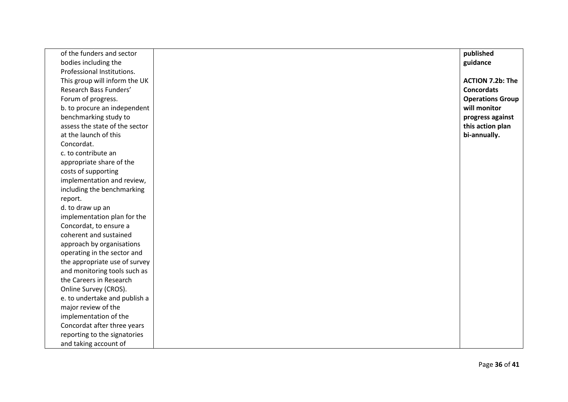| of the funders and sector      | published               |
|--------------------------------|-------------------------|
| bodies including the           | guidance                |
| Professional Institutions.     |                         |
| This group will inform the UK  | <b>ACTION 7.2b: The</b> |
| Research Bass Funders'         | <b>Concordats</b>       |
| Forum of progress.             | <b>Operations Group</b> |
| b. to procure an independent   | will monitor            |
| benchmarking study to          | progress against        |
| assess the state of the sector | this action plan        |
| at the launch of this          | bi-annually.            |
| Concordat.                     |                         |
| c. to contribute an            |                         |
| appropriate share of the       |                         |
| costs of supporting            |                         |
| implementation and review,     |                         |
| including the benchmarking     |                         |
| report.                        |                         |
| d. to draw up an               |                         |
| implementation plan for the    |                         |
| Concordat, to ensure a         |                         |
| coherent and sustained         |                         |
| approach by organisations      |                         |
| operating in the sector and    |                         |
| the appropriate use of survey  |                         |
| and monitoring tools such as   |                         |
| the Careers in Research        |                         |
| Online Survey (CROS).          |                         |
| e. to undertake and publish a  |                         |
| major review of the            |                         |
| implementation of the          |                         |
| Concordat after three years    |                         |
| reporting to the signatories   |                         |
| and taking account of          |                         |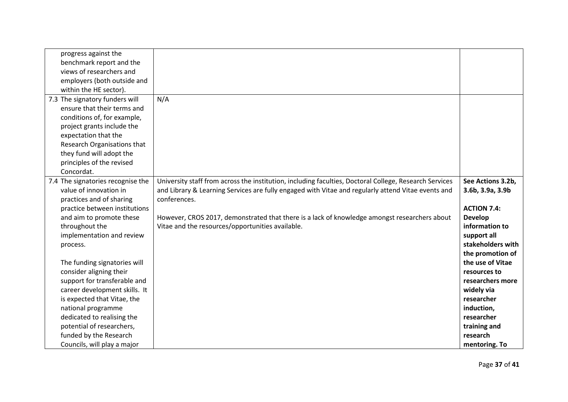| progress against the<br>benchmark report and the<br>views of researchers and<br>employers (both outside and<br>within the HE sector).                                                                                                                                                                                                                                                                                                                                                                                |                                                                                                                                                                                                                                                                                                                                                                                  |                                                                                                                                                                                                                                                                                                                      |
|----------------------------------------------------------------------------------------------------------------------------------------------------------------------------------------------------------------------------------------------------------------------------------------------------------------------------------------------------------------------------------------------------------------------------------------------------------------------------------------------------------------------|----------------------------------------------------------------------------------------------------------------------------------------------------------------------------------------------------------------------------------------------------------------------------------------------------------------------------------------------------------------------------------|----------------------------------------------------------------------------------------------------------------------------------------------------------------------------------------------------------------------------------------------------------------------------------------------------------------------|
| 7.3 The signatory funders will<br>ensure that their terms and<br>conditions of, for example,<br>project grants include the<br>expectation that the<br>Research Organisations that<br>they fund will adopt the<br>principles of the revised<br>Concordat.                                                                                                                                                                                                                                                             | N/A                                                                                                                                                                                                                                                                                                                                                                              |                                                                                                                                                                                                                                                                                                                      |
| 7.4 The signatories recognise the<br>value of innovation in<br>practices and of sharing<br>practice between institutions<br>and aim to promote these<br>throughout the<br>implementation and review<br>process.<br>The funding signatories will<br>consider aligning their<br>support for transferable and<br>career development skills. It<br>is expected that Vitae, the<br>national programme<br>dedicated to realising the<br>potential of researchers,<br>funded by the Research<br>Councils, will play a major | University staff from across the institution, including faculties, Doctoral College, Research Services<br>and Library & Learning Services are fully engaged with Vitae and regularly attend Vitae events and<br>conferences.<br>However, CROS 2017, demonstrated that there is a lack of knowledge amongst researchers about<br>Vitae and the resources/opportunities available. | See Actions 3.2b,<br>3.6b, 3.9a, 3.9b<br><b>ACTION 7.4:</b><br><b>Develop</b><br>information to<br>support all<br>stakeholders with<br>the promotion of<br>the use of Vitae<br>resources to<br>researchers more<br>widely via<br>researcher<br>induction,<br>researcher<br>training and<br>research<br>mentoring. To |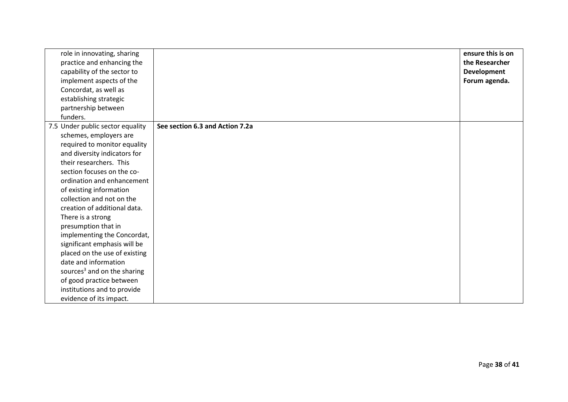| role in innovating, sharing<br>practice and enhancing the<br>capability of the sector to<br>implement aspects of the<br>Concordat, as well as<br>establishing strategic<br>partnership between<br>funders. |                                 | ensure this is on<br>the Researcher<br><b>Development</b><br>Forum agenda. |
|------------------------------------------------------------------------------------------------------------------------------------------------------------------------------------------------------------|---------------------------------|----------------------------------------------------------------------------|
| 7.5 Under public sector equality                                                                                                                                                                           | See section 6.3 and Action 7.2a |                                                                            |
| schemes, employers are                                                                                                                                                                                     |                                 |                                                                            |
| required to monitor equality                                                                                                                                                                               |                                 |                                                                            |
| and diversity indicators for                                                                                                                                                                               |                                 |                                                                            |
| their researchers. This                                                                                                                                                                                    |                                 |                                                                            |
| section focuses on the co-                                                                                                                                                                                 |                                 |                                                                            |
| ordination and enhancement                                                                                                                                                                                 |                                 |                                                                            |
| of existing information                                                                                                                                                                                    |                                 |                                                                            |
| collection and not on the                                                                                                                                                                                  |                                 |                                                                            |
| creation of additional data.                                                                                                                                                                               |                                 |                                                                            |
| There is a strong                                                                                                                                                                                          |                                 |                                                                            |
| presumption that in                                                                                                                                                                                        |                                 |                                                                            |
| implementing the Concordat,                                                                                                                                                                                |                                 |                                                                            |
| significant emphasis will be                                                                                                                                                                               |                                 |                                                                            |
| placed on the use of existing                                                                                                                                                                              |                                 |                                                                            |
| date and information                                                                                                                                                                                       |                                 |                                                                            |
| sources <sup>3</sup> and on the sharing                                                                                                                                                                    |                                 |                                                                            |
| of good practice between                                                                                                                                                                                   |                                 |                                                                            |
| institutions and to provide                                                                                                                                                                                |                                 |                                                                            |
| evidence of its impact.                                                                                                                                                                                    |                                 |                                                                            |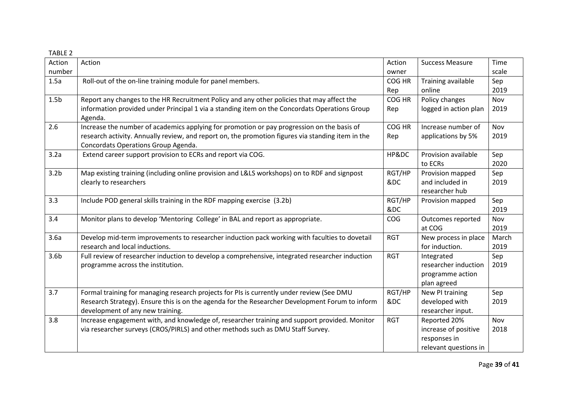| <b>TABLE 2</b> |  |
|----------------|--|

| Action           | Action                                                                                                                                                                                                                                 | Action        | <b>Success Measure</b>                                                        | Time          |
|------------------|----------------------------------------------------------------------------------------------------------------------------------------------------------------------------------------------------------------------------------------|---------------|-------------------------------------------------------------------------------|---------------|
| number           |                                                                                                                                                                                                                                        | owner         |                                                                               | scale         |
| 1.5a             | Roll-out of the on-line training module for panel members.                                                                                                                                                                             | COG HR<br>Rep | Training available<br>online                                                  | Sep<br>2019   |
| 1.5 <sub>b</sub> | Report any changes to the HR Recruitment Policy and any other policies that may affect the<br>information provided under Principal 1 via a standing item on the Concordats Operations Group<br>Agenda.                                 | COG HR<br>Rep | Policy changes<br>logged in action plan                                       | Nov<br>2019   |
| 2.6              | Increase the number of academics applying for promotion or pay progression on the basis of<br>research activity. Annually review, and report on, the promotion figures via standing item in the<br>Concordats Operations Group Agenda. | COG HR<br>Rep | Increase number of<br>applications by 5%                                      | Nov<br>2019   |
| 3.2a             | Extend career support provision to ECRs and report via COG.                                                                                                                                                                            | HP&DC         | Provision available<br>to ECRs                                                | Sep<br>2020   |
| 3.2 <sub>b</sub> | Map existing training (including online provision and L&LS workshops) on to RDF and signpost<br>clearly to researchers                                                                                                                 | RGT/HP<br>&DC | Provision mapped<br>and included in<br>researcher hub                         | Sep<br>2019   |
| 3.3              | Include POD general skills training in the RDF mapping exercise (3.2b)                                                                                                                                                                 | RGT/HP<br>&DC | Provision mapped                                                              | Sep<br>2019   |
| 3.4              | Monitor plans to develop 'Mentoring College' in BAL and report as appropriate.                                                                                                                                                         | COG           | Outcomes reported<br>at COG                                                   | Nov<br>2019   |
| 3.6a             | Develop mid-term improvements to researcher induction pack working with faculties to dovetail<br>research and local inductions.                                                                                                        | <b>RGT</b>    | New process in place<br>for induction.                                        | March<br>2019 |
| 3.6 <sub>b</sub> | Full review of researcher induction to develop a comprehensive, integrated researcher induction<br>programme across the institution.                                                                                                   | <b>RGT</b>    | Integrated<br>researcher induction<br>programme action<br>plan agreed         | Sep<br>2019   |
| 3.7              | Formal training for managing research projects for PIs is currently under review (See DMU<br>Research Strategy). Ensure this is on the agenda for the Researcher Development Forum to inform<br>development of any new training.       | RGT/HP<br>&DC | New PI training<br>developed with<br>researcher input.                        | Sep<br>2019   |
| 3.8              | Increase engagement with, and knowledge of, researcher training and support provided. Monitor<br>via researcher surveys (CROS/PIRLS) and other methods such as DMU Staff Survey.                                                       | <b>RGT</b>    | Reported 20%<br>increase of positive<br>responses in<br>relevant questions in | Nov<br>2018   |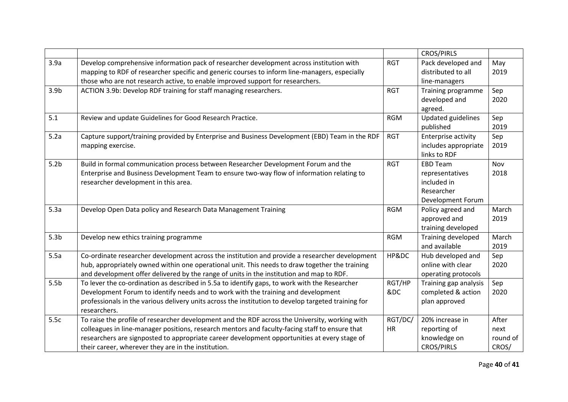|                  |                                                                                                                                                                                                  |            | <b>CROS/PIRLS</b>                            |             |
|------------------|--------------------------------------------------------------------------------------------------------------------------------------------------------------------------------------------------|------------|----------------------------------------------|-------------|
| 3.9a             | Develop comprehensive information pack of researcher development across institution with                                                                                                         | <b>RGT</b> | Pack developed and                           | May         |
|                  | mapping to RDF of researcher specific and generic courses to inform line-managers, especially                                                                                                    |            | distributed to all                           | 2019        |
|                  | those who are not research active, to enable improved support for researchers.                                                                                                                   |            | line-managers                                |             |
| 3.9 <sub>b</sub> | ACTION 3.9b: Develop RDF training for staff managing researchers.                                                                                                                                | <b>RGT</b> | Training programme                           | Sep         |
|                  |                                                                                                                                                                                                  |            | developed and                                | 2020        |
|                  |                                                                                                                                                                                                  |            | agreed.                                      |             |
| 5.1              | Review and update Guidelines for Good Research Practice.                                                                                                                                         | <b>RGM</b> | <b>Updated guidelines</b>                    | Sep         |
|                  |                                                                                                                                                                                                  |            | published                                    | 2019        |
| 5.2a             | Capture support/training provided by Enterprise and Business Development (EBD) Team in the RDF                                                                                                   | <b>RGT</b> | Enterprise activity                          | Sep         |
|                  | mapping exercise.                                                                                                                                                                                |            | includes appropriate                         | 2019        |
|                  |                                                                                                                                                                                                  |            | links to RDF                                 |             |
| 5.2 <sub>b</sub> | Build in formal communication process between Researcher Development Forum and the                                                                                                               | <b>RGT</b> | <b>EBD Team</b>                              | Nov         |
|                  | Enterprise and Business Development Team to ensure two-way flow of information relating to                                                                                                       |            | representatives                              | 2018        |
|                  | researcher development in this area.                                                                                                                                                             |            | included in                                  |             |
|                  |                                                                                                                                                                                                  |            | Researcher                                   |             |
|                  |                                                                                                                                                                                                  |            | Development Forum                            |             |
| 5.3a             | Develop Open Data policy and Research Data Management Training                                                                                                                                   | <b>RGM</b> | Policy agreed and                            | March       |
|                  |                                                                                                                                                                                                  |            | approved and                                 | 2019        |
|                  |                                                                                                                                                                                                  |            | training developed                           |             |
| 5.3 <sub>b</sub> | Develop new ethics training programme                                                                                                                                                            | <b>RGM</b> | Training developed                           | March       |
|                  |                                                                                                                                                                                                  |            | and available                                | 2019        |
| 5.5a             | Co-ordinate researcher development across the institution and provide a researcher development<br>hub, appropriately owned within one operational unit. This needs to draw together the training | HP&DC      | Hub developed and<br>online with clear       | Sep<br>2020 |
|                  | and development offer delivered by the range of units in the institution and map to RDF.                                                                                                         |            |                                              |             |
| 5.5 <sub>b</sub> | To lever the co-ordination as described in 5.5a to identify gaps, to work with the Researcher                                                                                                    | RGT/HP     | operating protocols<br>Training gap analysis | Sep         |
|                  | Development Forum to identify needs and to work with the training and development                                                                                                                | &DC        | completed & action                           | 2020        |
|                  | professionals in the various delivery units across the institution to develop targeted training for                                                                                              |            | plan approved                                |             |
|                  | researchers.                                                                                                                                                                                     |            |                                              |             |
| 5.5c             | To raise the profile of researcher development and the RDF across the University, working with                                                                                                   | RGT/DC/    | 20% increase in                              | After       |
|                  | colleagues in line-manager positions, research mentors and faculty-facing staff to ensure that                                                                                                   | HR         | reporting of                                 | next        |
|                  | researchers are signposted to appropriate career development opportunities at every stage of                                                                                                     |            | knowledge on                                 | round of    |
|                  | their career, wherever they are in the institution.                                                                                                                                              |            | <b>CROS/PIRLS</b>                            | CROS/       |